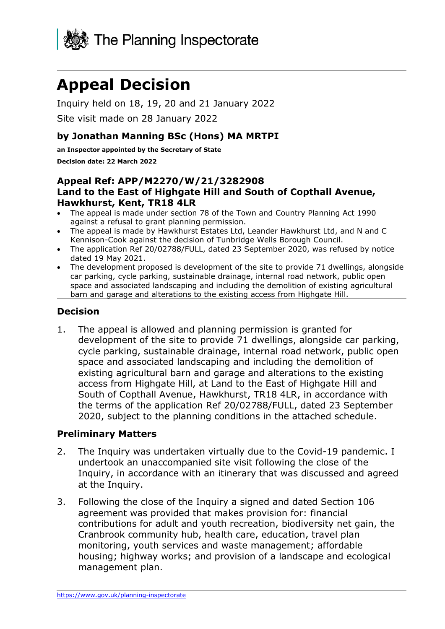

# **Appeal Decision**

Inquiry held on 18, 19, 20 and 21 January 2022

Site visit made on 28 January 2022

#### **by Jonathan Manning BSc (Hons) MA MRTPI**

**an Inspector appointed by the Secretary of State** 

#### **Decision date: 22 March 2022**

#### **Appeal Ref: APP/M2270/W/21/3282908 Land to the East of Highgate Hill and South of Copthall Avenue, Hawkhurst, Kent, TR18 4LR**

- The appeal is made under section 78 of the Town and Country Planning Act 1990 against a refusal to grant planning permission.
- The appeal is made by Hawkhurst Estates Ltd, Leander Hawkhurst Ltd, and N and C Kennison-Cook against the decision of Tunbridge Wells Borough Council.
- The application Ref 20/02788/FULL, dated 23 September 2020, was refused by notice dated 19 May 2021.
- The development proposed is development of the site to provide 71 dwellings, alongside car parking, cycle parking, sustainable drainage, internal road network, public open space and associated landscaping and including the demolition of existing agricultural barn and garage and alterations to the existing access from Highgate Hill.

#### **Decision**

1. The appeal is allowed and planning permission is granted for development of the site to provide 71 dwellings, alongside car parking, cycle parking, sustainable drainage, internal road network, public open space and associated landscaping and including the demolition of existing agricultural barn and garage and alterations to the existing access from Highgate Hill, at Land to the East of Highgate Hill and South of Copthall Avenue, Hawkhurst, TR18 4LR, in accordance with the terms of the application Ref 20/02788/FULL, dated 23 September 2020, subject to the planning conditions in the attached schedule.

#### **Preliminary Matters**

- 2. The Inquiry was undertaken virtually due to the Covid-19 pandemic. I undertook an unaccompanied site visit following the close of the Inquiry, in accordance with an itinerary that was discussed and agreed at the Inquiry.
- 3. Following the close of the Inquiry a signed and dated Section 106 agreement was provided that makes provision for: financial contributions for adult and youth recreation, biodiversity net gain, the Cranbrook community hub, health care, education, travel plan monitoring, youth services and waste management; affordable housing; highway works; and provision of a landscape and ecological management plan.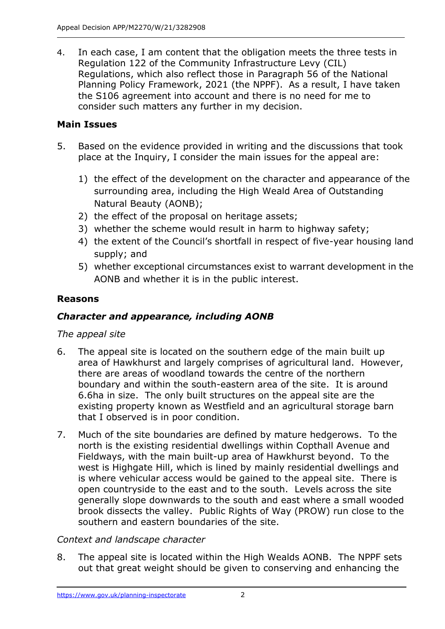4. In each case, I am content that the obligation meets the three tests in Regulation 122 of the Community Infrastructure Levy (CIL) Regulations, which also reflect those in Paragraph 56 of the National Planning Policy Framework, 2021 (the NPPF). As a result, I have taken the S106 agreement into account and there is no need for me to consider such matters any further in my decision.

# **Main Issues**

- 5. Based on the evidence provided in writing and the discussions that took place at the Inquiry, I consider the main issues for the appeal are:
	- 1) the effect of the development on the character and appearance of the surrounding area, including the High Weald Area of Outstanding Natural Beauty (AONB);
	- 2) the effect of the proposal on heritage assets;
	- 3) whether the scheme would result in harm to highway safety;
	- 4) the extent of the Council's shortfall in respect of five-year housing land supply; and
	- 5) whether exceptional circumstances exist to warrant development in the AONB and whether it is in the public interest.

## **Reasons**

## *Character and appearance, including AONB*

## *The appeal site*

- 6. The appeal site is located on the southern edge of the main built up area of Hawkhurst and largely comprises of agricultural land. However, there are areas of woodland towards the centre of the northern boundary and within the south-eastern area of the site. It is around 6.6ha in size. The only built structures on the appeal site are the existing property known as Westfield and an agricultural storage barn that I observed is in poor condition.
- 7. Much of the site boundaries are defined by mature hedgerows. To the north is the existing residential dwellings within Copthall Avenue and Fieldways, with the main built-up area of Hawkhurst beyond. To the west is Highgate Hill, which is lined by mainly residential dwellings and is where vehicular access would be gained to the appeal site. There is open countryside to the east and to the south. Levels across the site generally slope downwards to the south and east where a small wooded brook dissects the valley. Public Rights of Way (PROW) run close to the southern and eastern boundaries of the site.

## *Context and landscape character*

8. The appeal site is located within the High Wealds AONB. The NPPF sets out that great weight should be given to conserving and enhancing the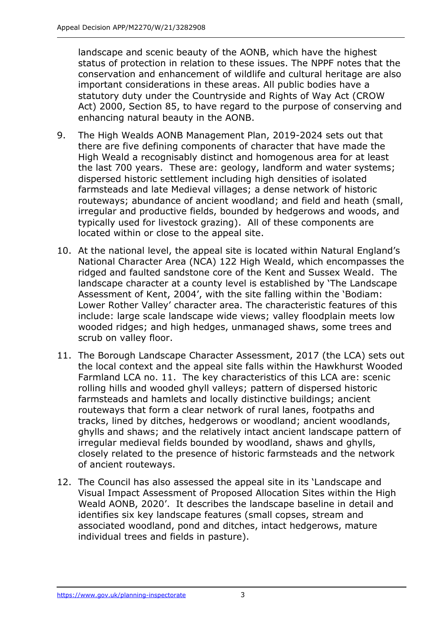landscape and scenic beauty of the AONB, which have the highest status of protection in relation to these issues. The NPPF notes that the conservation and enhancement of wildlife and cultural heritage are also important considerations in these areas. All public bodies have a statutory duty under the Countryside and Rights of Way Act (CROW Act) 2000, Section 85, to have regard to the purpose of conserving and enhancing natural beauty in the AONB.

- 9. The High Wealds AONB Management Plan, 2019-2024 sets out that there are five defining components of character that have made the High Weald a recognisably distinct and homogenous area for at least the last 700 years. These are: geology, landform and water systems; dispersed historic settlement including high densities of isolated farmsteads and late Medieval villages; a dense network of historic routeways; abundance of ancient woodland; and field and heath (small, irregular and productive fields, bounded by hedgerows and woods, and typically used for livestock grazing). All of these components are located within or close to the appeal site.
- 10. At the national level, the appeal site is located within Natural England's National Character Area (NCA) 122 High Weald, which encompasses the ridged and faulted sandstone core of the Kent and Sussex Weald. The landscape character at a county level is established by 'The Landscape Assessment of Kent, 2004', with the site falling within the 'Bodiam: Lower Rother Valley' character area. The characteristic features of this include: large scale landscape wide views; valley floodplain meets low wooded ridges; and high hedges, unmanaged shaws, some trees and scrub on valley floor.
- 11. The Borough Landscape Character Assessment, 2017 (the LCA) sets out the local context and the appeal site falls within the Hawkhurst Wooded Farmland LCA no. 11. The key characteristics of this LCA are: scenic rolling hills and wooded ghyll valleys; pattern of dispersed historic farmsteads and hamlets and locally distinctive buildings; ancient routeways that form a clear network of rural lanes, footpaths and tracks, lined by ditches, hedgerows or woodland; ancient woodlands, ghylls and shaws; and the relatively intact ancient landscape pattern of irregular medieval fields bounded by woodland, shaws and ghylls, closely related to the presence of historic farmsteads and the network of ancient routeways.
- 12. The Council has also assessed the appeal site in its 'Landscape and Visual Impact Assessment of Proposed Allocation Sites within the High Weald AONB, 2020'. It describes the landscape baseline in detail and identifies six key landscape features (small copses, stream and associated woodland, pond and ditches, intact hedgerows, mature individual trees and fields in pasture).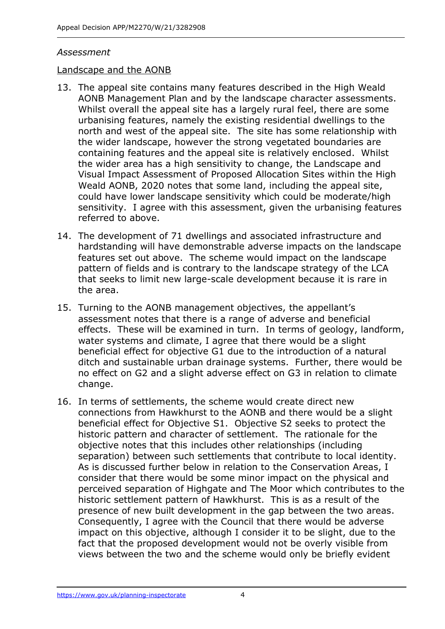#### *Assessment*

#### Landscape and the AONB

- 13. The appeal site contains many features described in the High Weald AONB Management Plan and by the landscape character assessments. Whilst overall the appeal site has a largely rural feel, there are some urbanising features, namely the existing residential dwellings to the north and west of the appeal site. The site has some relationship with the wider landscape, however the strong vegetated boundaries are containing features and the appeal site is relatively enclosed. Whilst the wider area has a high sensitivity to change, the Landscape and Visual Impact Assessment of Proposed Allocation Sites within the High Weald AONB, 2020 notes that some land, including the appeal site, could have lower landscape sensitivity which could be moderate/high sensitivity. I agree with this assessment, given the urbanising features referred to above.
- 14. The development of 71 dwellings and associated infrastructure and hardstanding will have demonstrable adverse impacts on the landscape features set out above. The scheme would impact on the landscape pattern of fields and is contrary to the landscape strategy of the LCA that seeks to limit new large-scale development because it is rare in the area.
- 15. Turning to the AONB management objectives, the appellant's assessment notes that there is a range of adverse and beneficial effects. These will be examined in turn. In terms of geology, landform, water systems and climate, I agree that there would be a slight beneficial effect for objective G1 due to the introduction of a natural ditch and sustainable urban drainage systems. Further, there would be no effect on G2 and a slight adverse effect on G3 in relation to climate change.
- 16. In terms of settlements, the scheme would create direct new connections from Hawkhurst to the AONB and there would be a slight beneficial effect for Objective S1. Objective S2 seeks to protect the historic pattern and character of settlement. The rationale for the objective notes that this includes other relationships (including separation) between such settlements that contribute to local identity. As is discussed further below in relation to the Conservation Areas, I consider that there would be some minor impact on the physical and perceived separation of Highgate and The Moor which contributes to the historic settlement pattern of Hawkhurst. This is as a result of the presence of new built development in the gap between the two areas. Consequently, I agree with the Council that there would be adverse impact on this objective, although I consider it to be slight, due to the fact that the proposed development would not be overly visible from views between the two and the scheme would only be briefly evident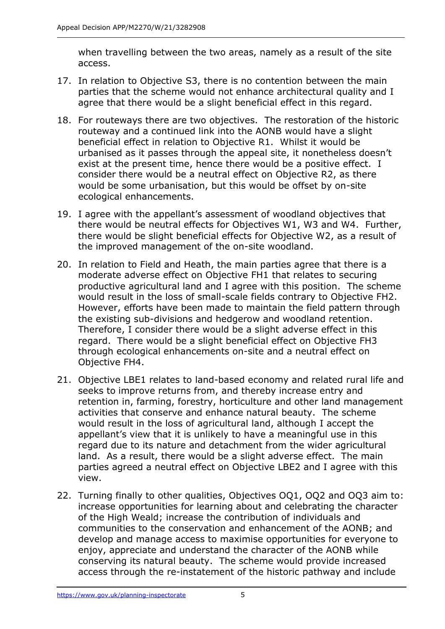when travelling between the two areas, namely as a result of the site access.

- 17. In relation to Objective S3, there is no contention between the main parties that the scheme would not enhance architectural quality and I agree that there would be a slight beneficial effect in this regard.
- 18. For routeways there are two objectives. The restoration of the historic routeway and a continued link into the AONB would have a slight beneficial effect in relation to Objective R1. Whilst it would be urbanised as it passes through the appeal site, it nonetheless doesn't exist at the present time, hence there would be a positive effect. I consider there would be a neutral effect on Objective R2, as there would be some urbanisation, but this would be offset by on-site ecological enhancements.
- 19. I agree with the appellant's assessment of woodland objectives that there would be neutral effects for Objectives W1, W3 and W4. Further, there would be slight beneficial effects for Objective W2, as a result of the improved management of the on-site woodland.
- 20. In relation to Field and Heath, the main parties agree that there is a moderate adverse effect on Objective FH1 that relates to securing productive agricultural land and I agree with this position. The scheme would result in the loss of small-scale fields contrary to Objective FH2. However, efforts have been made to maintain the field pattern through the existing sub-divisions and hedgerow and woodland retention. Therefore, I consider there would be a slight adverse effect in this regard. There would be a slight beneficial effect on Objective FH3 through ecological enhancements on-site and a neutral effect on Objective FH4.
- 21. Objective LBE1 relates to land-based economy and related rural life and seeks to improve returns from, and thereby increase entry and retention in, farming, forestry, horticulture and other land management activities that conserve and enhance natural beauty. The scheme would result in the loss of agricultural land, although I accept the appellant's view that it is unlikely to have a meaningful use in this regard due to its nature and detachment from the wider agricultural land. As a result, there would be a slight adverse effect. The main parties agreed a neutral effect on Objective LBE2 and I agree with this view.
- 22. Turning finally to other qualities, Objectives OQ1, OQ2 and OQ3 aim to: increase opportunities for learning about and celebrating the character of the High Weald; increase the contribution of individuals and communities to the conservation and enhancement of the AONB; and develop and manage access to maximise opportunities for everyone to enjoy, appreciate and understand the character of the AONB while conserving its natural beauty. The scheme would provide increased access through the re-instatement of the historic pathway and include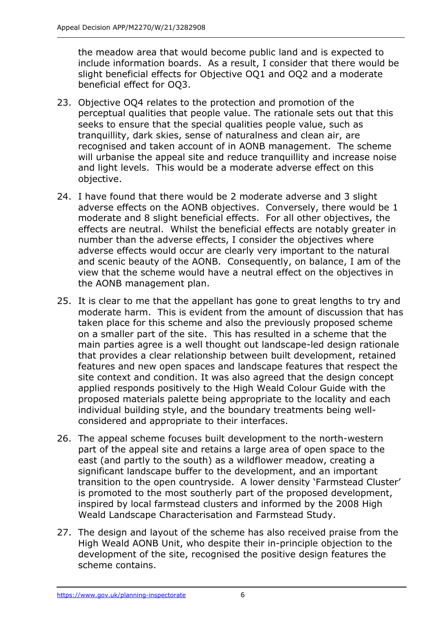the meadow area that would become public land and is expected to include information boards. As a result, I consider that there would be slight beneficial effects for Objective OQ1 and OQ2 and a moderate beneficial effect for OQ3.

- 23. Objective OQ4 relates to the protection and promotion of the perceptual qualities that people value. The rationale sets out that this seeks to ensure that the special qualities people value, such as tranquillity, dark skies, sense of naturalness and clean air, are recognised and taken account of in AONB management. The scheme will urbanise the appeal site and reduce tranquillity and increase noise and light levels. This would be a moderate adverse effect on this objective.
- 24. I have found that there would be 2 moderate adverse and 3 slight adverse effects on the AONB objectives. Conversely, there would be 1 moderate and 8 slight beneficial effects. For all other objectives, the effects are neutral. Whilst the beneficial effects are notably greater in number than the adverse effects, I consider the objectives where adverse effects would occur are clearly very important to the natural and scenic beauty of the AONB. Consequently, on balance, I am of the view that the scheme would have a neutral effect on the objectives in the AONB management plan.
- 25. It is clear to me that the appellant has gone to great lengths to try and moderate harm. This is evident from the amount of discussion that has taken place for this scheme and also the previously proposed scheme on a smaller part of the site. This has resulted in a scheme that the main parties agree is a well thought out landscape-led design rationale that provides a clear relationship between built development, retained features and new open spaces and landscape features that respect the site context and condition. It was also agreed that the design concept applied responds positively to the High Weald Colour Guide with the proposed materials palette being appropriate to the locality and each individual building style, and the boundary treatments being wellconsidered and appropriate to their interfaces.
- 26. The appeal scheme focuses built development to the north-western part of the appeal site and retains a large area of open space to the east (and partly to the south) as a wildflower meadow, creating a significant landscape buffer to the development, and an important transition to the open countryside. A lower density 'Farmstead Cluster' is promoted to the most southerly part of the proposed development, inspired by local farmstead clusters and informed by the 2008 High Weald Landscape Characterisation and Farmstead Study.
- 27. The design and layout of the scheme has also received praise from the High Weald AONB Unit, who despite their in-principle objection to the development of the site, recognised the positive design features the scheme contains.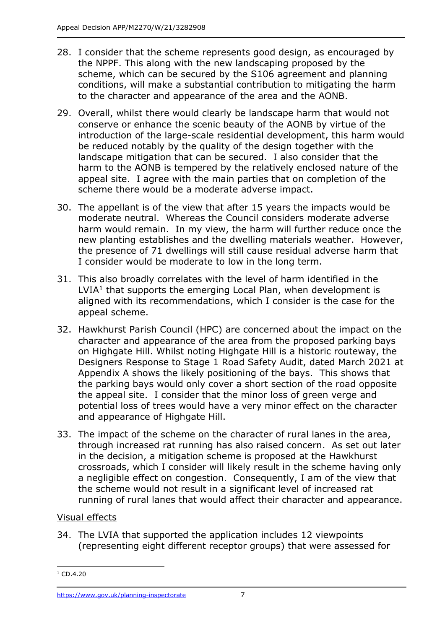- 28. I consider that the scheme represents good design, as encouraged by the NPPF. This along with the new landscaping proposed by the scheme, which can be secured by the S106 agreement and planning conditions, will make a substantial contribution to mitigating the harm to the character and appearance of the area and the AONB.
- 29. Overall, whilst there would clearly be landscape harm that would not conserve or enhance the scenic beauty of the AONB by virtue of the introduction of the large-scale residential development, this harm would be reduced notably by the quality of the design together with the landscape mitigation that can be secured. I also consider that the harm to the AONB is tempered by the relatively enclosed nature of the appeal site. I agree with the main parties that on completion of the scheme there would be a moderate adverse impact.
- 30. The appellant is of the view that after 15 years the impacts would be moderate neutral. Whereas the Council considers moderate adverse harm would remain. In my view, the harm will further reduce once the new planting establishes and the dwelling materials weather. However, the presence of 71 dwellings will still cause residual adverse harm that I consider would be moderate to low in the long term.
- 31. This also broadly correlates with the level of harm identified in the  $LVIA<sup>1</sup>$  that supports the emerging Local Plan, when development is aligned with its recommendations, which I consider is the case for the appeal scheme.
- 32. Hawkhurst Parish Council (HPC) are concerned about the impact on the character and appearance of the area from the proposed parking bays on Highgate Hill. Whilst noting Highgate Hill is a historic routeway, the Designers Response to Stage 1 Road Safety Audit, dated March 2021 at Appendix A shows the likely positioning of the bays. This shows that the parking bays would only cover a short section of the road opposite the appeal site. I consider that the minor loss of green verge and potential loss of trees would have a very minor effect on the character and appearance of Highgate Hill.
- 33. The impact of the scheme on the character of rural lanes in the area, through increased rat running has also raised concern. As set out later in the decision, a mitigation scheme is proposed at the Hawkhurst crossroads, which I consider will likely result in the scheme having only a negligible effect on congestion. Consequently, I am of the view that the scheme would not result in a significant level of increased rat running of rural lanes that would affect their character and appearance.

## Visual effects

34. The LVIA that supported the application includes 12 viewpoints (representing eight different receptor groups) that were assessed for

 $1$  CD.4.20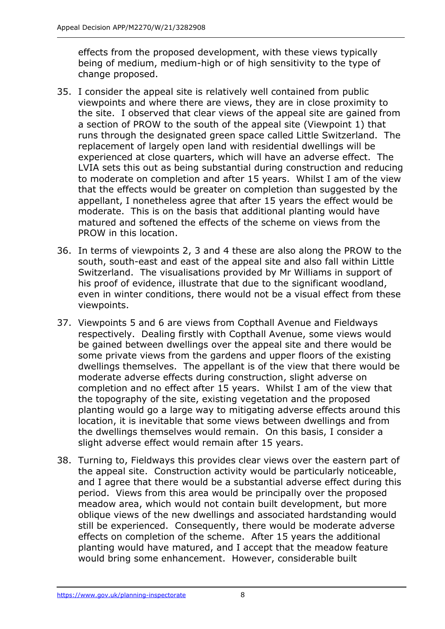effects from the proposed development, with these views typically being of medium, medium-high or of high sensitivity to the type of change proposed.

- 35. I consider the appeal site is relatively well contained from public viewpoints and where there are views, they are in close proximity to the site. I observed that clear views of the appeal site are gained from a section of PROW to the south of the appeal site (Viewpoint 1) that runs through the designated green space called Little Switzerland. The replacement of largely open land with residential dwellings will be experienced at close quarters, which will have an adverse effect. The LVIA sets this out as being substantial during construction and reducing to moderate on completion and after 15 years. Whilst I am of the view that the effects would be greater on completion than suggested by the appellant, I nonetheless agree that after 15 years the effect would be moderate. This is on the basis that additional planting would have matured and softened the effects of the scheme on views from the PROW in this location.
- 36. In terms of viewpoints 2, 3 and 4 these are also along the PROW to the south, south-east and east of the appeal site and also fall within Little Switzerland. The visualisations provided by Mr Williams in support of his proof of evidence, illustrate that due to the significant woodland, even in winter conditions, there would not be a visual effect from these viewpoints.
- 37. Viewpoints 5 and 6 are views from Copthall Avenue and Fieldways respectively. Dealing firstly with Copthall Avenue, some views would be gained between dwellings over the appeal site and there would be some private views from the gardens and upper floors of the existing dwellings themselves. The appellant is of the view that there would be moderate adverse effects during construction, slight adverse on completion and no effect after 15 years. Whilst I am of the view that the topography of the site, existing vegetation and the proposed planting would go a large way to mitigating adverse effects around this location, it is inevitable that some views between dwellings and from the dwellings themselves would remain. On this basis, I consider a slight adverse effect would remain after 15 years.
- 38. Turning to, Fieldways this provides clear views over the eastern part of the appeal site. Construction activity would be particularly noticeable, and I agree that there would be a substantial adverse effect during this period. Views from this area would be principally over the proposed meadow area, which would not contain built development, but more oblique views of the new dwellings and associated hardstanding would still be experienced. Consequently, there would be moderate adverse effects on completion of the scheme. After 15 years the additional planting would have matured, and I accept that the meadow feature would bring some enhancement. However, considerable built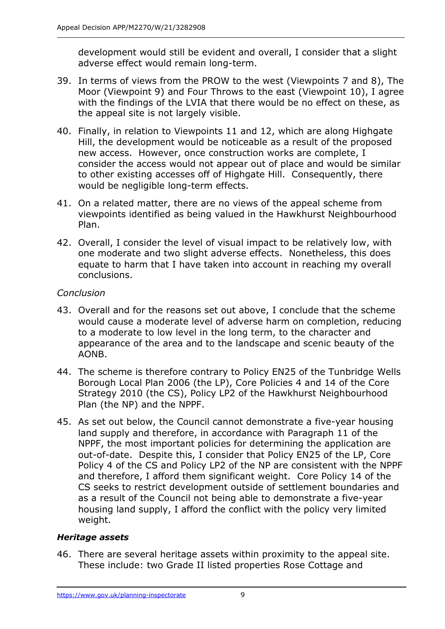development would still be evident and overall, I consider that a slight adverse effect would remain long-term.

- 39. In terms of views from the PROW to the west (Viewpoints 7 and 8), The Moor (Viewpoint 9) and Four Throws to the east (Viewpoint 10), I agree with the findings of the LVIA that there would be no effect on these, as the appeal site is not largely visible.
- 40. Finally, in relation to Viewpoints 11 and 12, which are along Highgate Hill, the development would be noticeable as a result of the proposed new access. However, once construction works are complete, I consider the access would not appear out of place and would be similar to other existing accesses off of Highgate Hill. Consequently, there would be negligible long-term effects.
- 41. On a related matter, there are no views of the appeal scheme from viewpoints identified as being valued in the Hawkhurst Neighbourhood Plan.
- 42. Overall, I consider the level of visual impact to be relatively low, with one moderate and two slight adverse effects. Nonetheless, this does equate to harm that I have taken into account in reaching my overall conclusions.

## *Conclusion*

- 43. Overall and for the reasons set out above, I conclude that the scheme would cause a moderate level of adverse harm on completion, reducing to a moderate to low level in the long term, to the character and appearance of the area and to the landscape and scenic beauty of the AONB.
- 44. The scheme is therefore contrary to Policy EN25 of the Tunbridge Wells Borough Local Plan 2006 (the LP), Core Policies 4 and 14 of the Core Strategy 2010 (the CS), Policy LP2 of the Hawkhurst Neighbourhood Plan (the NP) and the NPPF.
- 45. As set out below, the Council cannot demonstrate a five-year housing land supply and therefore, in accordance with Paragraph 11 of the NPPF, the most important policies for determining the application are out-of-date. Despite this, I consider that Policy EN25 of the LP, Core Policy 4 of the CS and Policy LP2 of the NP are consistent with the NPPF and therefore, I afford them significant weight. Core Policy 14 of the CS seeks to restrict development outside of settlement boundaries and as a result of the Council not being able to demonstrate a five-year housing land supply, I afford the conflict with the policy very limited weight.

## *Heritage assets*

46. There are several heritage assets within proximity to the appeal site. These include: two Grade II listed properties Rose Cottage and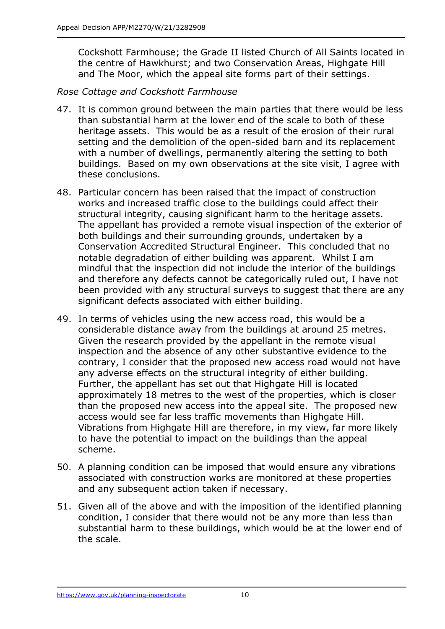Cockshott Farmhouse; the Grade II listed Church of All Saints located in the centre of Hawkhurst; and two Conservation Areas, Highgate Hill and The Moor, which the appeal site forms part of their settings.

#### *Rose Cottage and Cockshott Farmhouse*

- 47. It is common ground between the main parties that there would be less than substantial harm at the lower end of the scale to both of these heritage assets. This would be as a result of the erosion of their rural setting and the demolition of the open-sided barn and its replacement with a number of dwellings, permanently altering the setting to both buildings. Based on my own observations at the site visit, I agree with these conclusions.
- 48. Particular concern has been raised that the impact of construction works and increased traffic close to the buildings could affect their structural integrity, causing significant harm to the heritage assets. The appellant has provided a remote visual inspection of the exterior of both buildings and their surrounding grounds, undertaken by a Conservation Accredited Structural Engineer. This concluded that no notable degradation of either building was apparent. Whilst I am mindful that the inspection did not include the interior of the buildings and therefore any defects cannot be categorically ruled out, I have not been provided with any structural surveys to suggest that there are any significant defects associated with either building.
- 49. In terms of vehicles using the new access road, this would be a considerable distance away from the buildings at around 25 metres. Given the research provided by the appellant in the remote visual inspection and the absence of any other substantive evidence to the contrary, I consider that the proposed new access road would not have any adverse effects on the structural integrity of either building. Further, the appellant has set out that Highgate Hill is located approximately 18 metres to the west of the properties, which is closer than the proposed new access into the appeal site. The proposed new access would see far less traffic movements than Highgate Hill. Vibrations from Highgate Hill are therefore, in my view, far more likely to have the potential to impact on the buildings than the appeal scheme.
- 50. A planning condition can be imposed that would ensure any vibrations associated with construction works are monitored at these properties and any subsequent action taken if necessary.
- 51. Given all of the above and with the imposition of the identified planning condition, I consider that there would not be any more than less than substantial harm to these buildings, which would be at the lower end of the scale.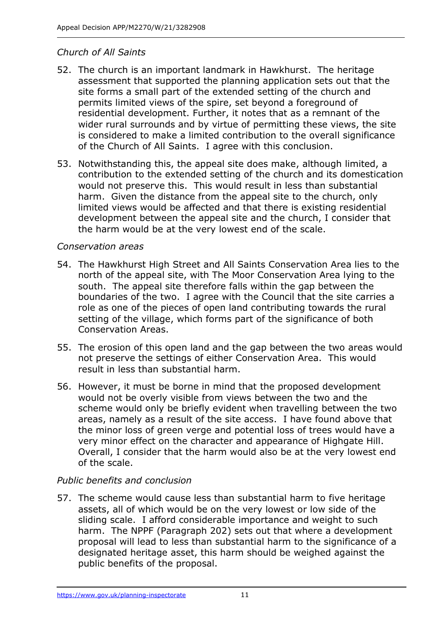## *Church of All Saints*

- 52. The church is an important landmark in Hawkhurst. The heritage assessment that supported the planning application sets out that the site forms a small part of the extended setting of the church and permits limited views of the spire, set beyond a foreground of residential development. Further, it notes that as a remnant of the wider rural surrounds and by virtue of permitting these views, the site is considered to make a limited contribution to the overall significance of the Church of All Saints. I agree with this conclusion.
- 53. Notwithstanding this, the appeal site does make, although limited, a contribution to the extended setting of the church and its domestication would not preserve this. This would result in less than substantial harm. Given the distance from the appeal site to the church, only limited views would be affected and that there is existing residential development between the appeal site and the church, I consider that the harm would be at the very lowest end of the scale.

## *Conservation areas*

- 54. The Hawkhurst High Street and All Saints Conservation Area lies to the north of the appeal site, with The Moor Conservation Area lying to the south. The appeal site therefore falls within the gap between the boundaries of the two. I agree with the Council that the site carries a role as one of the pieces of open land contributing towards the rural setting of the village, which forms part of the significance of both Conservation Areas.
- 55. The erosion of this open land and the gap between the two areas would not preserve the settings of either Conservation Area. This would result in less than substantial harm.
- 56. However, it must be borne in mind that the proposed development would not be overly visible from views between the two and the scheme would only be briefly evident when travelling between the two areas, namely as a result of the site access. I have found above that the minor loss of green verge and potential loss of trees would have a very minor effect on the character and appearance of Highgate Hill. Overall, I consider that the harm would also be at the very lowest end of the scale.

# *Public benefits and conclusion*

57. The scheme would cause less than substantial harm to five heritage assets, all of which would be on the very lowest or low side of the sliding scale. I afford considerable importance and weight to such harm. The NPPF (Paragraph 202) sets out that where a development proposal will lead to less than substantial harm to the significance of a designated heritage asset, this harm should be weighed against the public benefits of the proposal.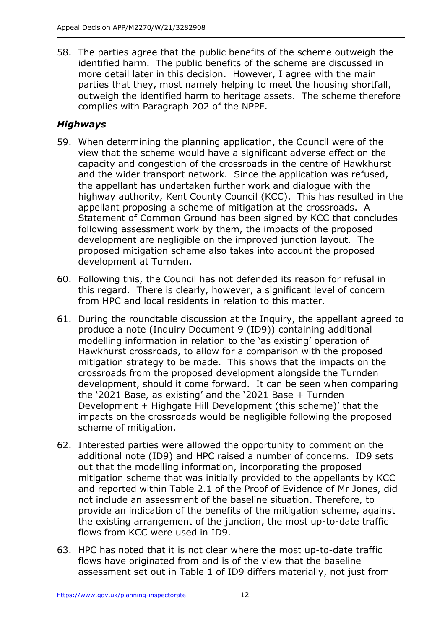58. The parties agree that the public benefits of the scheme outweigh the identified harm. The public benefits of the scheme are discussed in more detail later in this decision. However, I agree with the main parties that they, most namely helping to meet the housing shortfall, outweigh the identified harm to heritage assets. The scheme therefore complies with Paragraph 202 of the NPPF.

# *Highways*

- 59. When determining the planning application, the Council were of the view that the scheme would have a significant adverse effect on the capacity and congestion of the crossroads in the centre of Hawkhurst and the wider transport network. Since the application was refused, the appellant has undertaken further work and dialogue with the highway authority, Kent County Council (KCC). This has resulted in the appellant proposing a scheme of mitigation at the crossroads. A Statement of Common Ground has been signed by KCC that concludes following assessment work by them, the impacts of the proposed development are negligible on the improved junction layout. The proposed mitigation scheme also takes into account the proposed development at Turnden.
- 60. Following this, the Council has not defended its reason for refusal in this regard. There is clearly, however, a significant level of concern from HPC and local residents in relation to this matter.
- 61. During the roundtable discussion at the Inquiry, the appellant agreed to produce a note (Inquiry Document 9 (ID9)) containing additional modelling information in relation to the 'as existing' operation of Hawkhurst crossroads, to allow for a comparison with the proposed mitigation strategy to be made. This shows that the impacts on the crossroads from the proposed development alongside the Turnden development, should it come forward. It can be seen when comparing the '2021 Base, as existing' and the '2021 Base + Turnden Development + Highgate Hill Development (this scheme)' that the impacts on the crossroads would be negligible following the proposed scheme of mitigation.
- 62. Interested parties were allowed the opportunity to comment on the additional note (ID9) and HPC raised a number of concerns. ID9 sets out that the modelling information, incorporating the proposed mitigation scheme that was initially provided to the appellants by KCC and reported within Table 2.1 of the Proof of Evidence of Mr Jones, did not include an assessment of the baseline situation. Therefore, to provide an indication of the benefits of the mitigation scheme, against the existing arrangement of the junction, the most up-to-date traffic flows from KCC were used in ID9.
- 63. HPC has noted that it is not clear where the most up-to-date traffic flows have originated from and is of the view that the baseline assessment set out in Table 1 of ID9 differs materially, not just from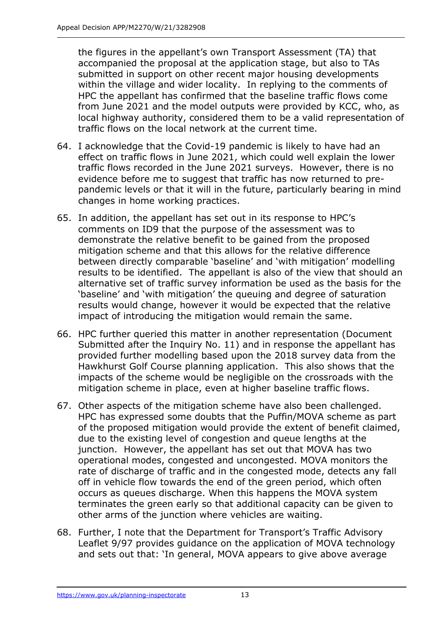the figures in the appellant's own Transport Assessment (TA) that accompanied the proposal at the application stage, but also to TAs submitted in support on other recent major housing developments within the village and wider locality. In replying to the comments of HPC the appellant has confirmed that the baseline traffic flows come from June 2021 and the model outputs were provided by KCC, who, as local highway authority, considered them to be a valid representation of traffic flows on the local network at the current time.

- 64. I acknowledge that the Covid-19 pandemic is likely to have had an effect on traffic flows in June 2021, which could well explain the lower traffic flows recorded in the June 2021 surveys. However, there is no evidence before me to suggest that traffic has now returned to prepandemic levels or that it will in the future, particularly bearing in mind changes in home working practices.
- 65. In addition, the appellant has set out in its response to HPC's comments on ID9 that the purpose of the assessment was to demonstrate the relative benefit to be gained from the proposed mitigation scheme and that this allows for the relative difference between directly comparable 'baseline' and 'with mitigation' modelling results to be identified. The appellant is also of the view that should an alternative set of traffic survey information be used as the basis for the 'baseline' and 'with mitigation' the queuing and degree of saturation results would change, however it would be expected that the relative impact of introducing the mitigation would remain the same.
- 66. HPC further queried this matter in another representation (Document Submitted after the Inquiry No. 11) and in response the appellant has provided further modelling based upon the 2018 survey data from the Hawkhurst Golf Course planning application. This also shows that the impacts of the scheme would be negligible on the crossroads with the mitigation scheme in place, even at higher baseline traffic flows.
- 67. Other aspects of the mitigation scheme have also been challenged. HPC has expressed some doubts that the Puffin/MOVA scheme as part of the proposed mitigation would provide the extent of benefit claimed, due to the existing level of congestion and queue lengths at the junction. However, the appellant has set out that MOVA has two operational modes, congested and uncongested. MOVA monitors the rate of discharge of traffic and in the congested mode, detects any fall off in vehicle flow towards the end of the green period, which often occurs as queues discharge. When this happens the MOVA system terminates the green early so that additional capacity can be given to other arms of the junction where vehicles are waiting.
- 68. Further, I note that the Department for Transport's Traffic Advisory Leaflet 9/97 provides guidance on the application of MOVA technology and sets out that: 'In general, MOVA appears to give above average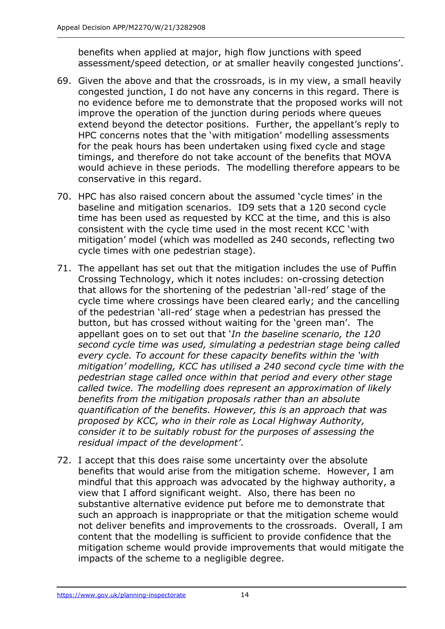benefits when applied at major, high flow junctions with speed assessment/speed detection, or at smaller heavily congested junctions'.

- 69. Given the above and that the crossroads, is in my view, a small heavily congested junction, I do not have any concerns in this regard. There is no evidence before me to demonstrate that the proposed works will not improve the operation of the junction during periods where queues extend beyond the detector positions. Further, the appellant's reply to HPC concerns notes that the 'with mitigation' modelling assessments for the peak hours has been undertaken using fixed cycle and stage timings, and therefore do not take account of the benefits that MOVA would achieve in these periods. The modelling therefore appears to be conservative in this regard.
- 70. HPC has also raised concern about the assumed 'cycle times' in the baseline and mitigation scenarios. ID9 sets that a 120 second cycle time has been used as requested by KCC at the time, and this is also consistent with the cycle time used in the most recent KCC 'with mitigation' model (which was modelled as 240 seconds, reflecting two cycle times with one pedestrian stage).
- 71. The appellant has set out that the mitigation includes the use of Puffin Crossing Technology, which it notes includes: on-crossing detection that allows for the shortening of the pedestrian 'all-red' stage of the cycle time where crossings have been cleared early; and the cancelling of the pedestrian 'all-red' stage when a pedestrian has pressed the button, but has crossed without waiting for the 'green man'. The appellant goes on to set out that '*In the baseline scenario, the 120 second cycle time was used, simulating a pedestrian stage being called every cycle. To account for these capacity benefits within the 'with mitigation' modelling, KCC has utilised a 240 second cycle time with the pedestrian stage called once within that period and every other stage called twice. The modelling does represent an approximation of likely benefits from the mitigation proposals rather than an absolute quantification of the benefits. However, this is an approach that was proposed by KCC, who in their role as Local Highway Authority, consider it to be suitably robust for the purposes of assessing the residual impact of the development'*.
- 72. I accept that this does raise some uncertainty over the absolute benefits that would arise from the mitigation scheme. However, I am mindful that this approach was advocated by the highway authority, a view that I afford significant weight. Also, there has been no substantive alternative evidence put before me to demonstrate that such an approach is inappropriate or that the mitigation scheme would not deliver benefits and improvements to the crossroads. Overall, I am content that the modelling is sufficient to provide confidence that the mitigation scheme would provide improvements that would mitigate the impacts of the scheme to a negligible degree.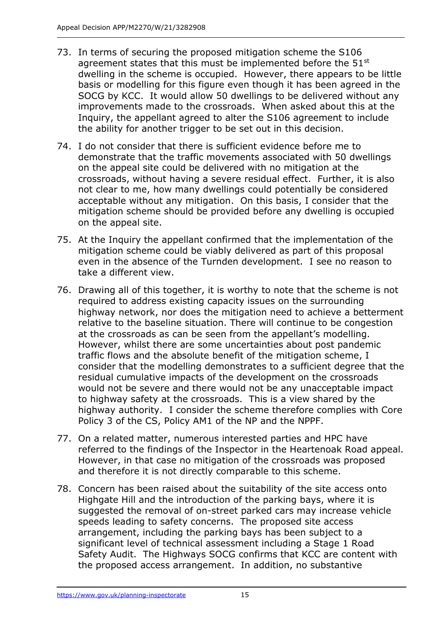- 73. In terms of securing the proposed mitigation scheme the S106 agreement states that this must be implemented before the 51<sup>st</sup> dwelling in the scheme is occupied. However, there appears to be little basis or modelling for this figure even though it has been agreed in the SOCG by KCC. It would allow 50 dwellings to be delivered without any improvements made to the crossroads. When asked about this at the Inquiry, the appellant agreed to alter the S106 agreement to include the ability for another trigger to be set out in this decision.
- 74. I do not consider that there is sufficient evidence before me to demonstrate that the traffic movements associated with 50 dwellings on the appeal site could be delivered with no mitigation at the crossroads, without having a severe residual effect. Further, it is also not clear to me, how many dwellings could potentially be considered acceptable without any mitigation. On this basis, I consider that the mitigation scheme should be provided before any dwelling is occupied on the appeal site.
- 75. At the Inquiry the appellant confirmed that the implementation of the mitigation scheme could be viably delivered as part of this proposal even in the absence of the Turnden development. I see no reason to take a different view.
- 76. Drawing all of this together, it is worthy to note that the scheme is not required to address existing capacity issues on the surrounding highway network, nor does the mitigation need to achieve a betterment relative to the baseline situation. There will continue to be congestion at the crossroads as can be seen from the appellant's modelling. However, whilst there are some uncertainties about post pandemic traffic flows and the absolute benefit of the mitigation scheme, I consider that the modelling demonstrates to a sufficient degree that the residual cumulative impacts of the development on the crossroads would not be severe and there would not be any unacceptable impact to highway safety at the crossroads. This is a view shared by the highway authority. I consider the scheme therefore complies with Core Policy 3 of the CS, Policy AM1 of the NP and the NPPF.
- 77. On a related matter, numerous interested parties and HPC have referred to the findings of the Inspector in the Heartenoak Road appeal. However, in that case no mitigation of the crossroads was proposed and therefore it is not directly comparable to this scheme.
- 78. Concern has been raised about the suitability of the site access onto Highgate Hill and the introduction of the parking bays, where it is suggested the removal of on-street parked cars may increase vehicle speeds leading to safety concerns. The proposed site access arrangement, including the parking bays has been subject to a significant level of technical assessment including a Stage 1 Road Safety Audit. The Highways SOCG confirms that KCC are content with the proposed access arrangement. In addition, no substantive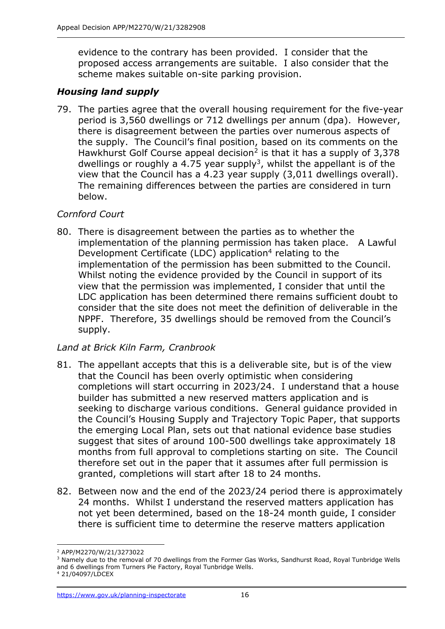evidence to the contrary has been provided. I consider that the proposed access arrangements are suitable. I also consider that the scheme makes suitable on-site parking provision.

## *Housing land supply*

79. The parties agree that the overall housing requirement for the five-year period is 3,560 dwellings or 712 dwellings per annum (dpa). However, there is disagreement between the parties over numerous aspects of the supply. The Council's final position, based on its comments on the Hawkhurst Golf Course appeal decision<sup>2</sup> is that it has a supply of 3,378 dwellings or roughly a 4.75 year supply<sup>3</sup>, whilst the appellant is of the view that the Council has a 4.23 year supply (3,011 dwellings overall). The remaining differences between the parties are considered in turn below.

## *Cornford Court*

80. There is disagreement between the parties as to whether the implementation of the planning permission has taken place. A Lawful Development Certificate (LDC) application<sup>4</sup> relating to the implementation of the permission has been submitted to the Council. Whilst noting the evidence provided by the Council in support of its view that the permission was implemented, I consider that until the LDC application has been determined there remains sufficient doubt to consider that the site does not meet the definition of deliverable in the NPPF. Therefore, 35 dwellings should be removed from the Council's supply.

## *Land at Brick Kiln Farm, Cranbrook*

- 81. The appellant accepts that this is a deliverable site, but is of the view that the Council has been overly optimistic when considering completions will start occurring in 2023/24. I understand that a house builder has submitted a new reserved matters application and is seeking to discharge various conditions. General guidance provided in the Council's Housing Supply and Trajectory Topic Paper, that supports the emerging Local Plan, sets out that national evidence base studies suggest that sites of around 100-500 dwellings take approximately 18 months from full approval to completions starting on site. The Council therefore set out in the paper that it assumes after full permission is granted, completions will start after 18 to 24 months.
- 82. Between now and the end of the 2023/24 period there is approximately 24 months. Whilst I understand the reserved matters application has not yet been determined, based on the 18-24 month guide, I consider there is sufficient time to determine the reserve matters application

<sup>2</sup> APP/M2270/W/21/3273022

<sup>&</sup>lt;sup>3</sup> Namely due to the removal of 70 dwellings from the Former Gas Works, Sandhurst Road, Royal Tunbridge Wells and 6 dwellings from Turners Pie Factory, Royal Tunbridge Wells.

<sup>4</sup> 21/04097/LDCEX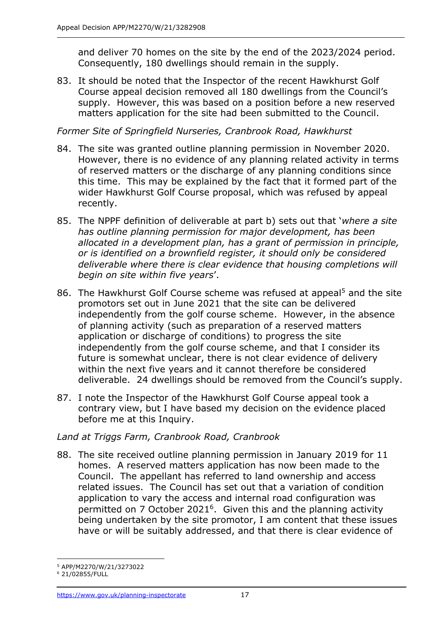and deliver 70 homes on the site by the end of the 2023/2024 period. Consequently, 180 dwellings should remain in the supply.

83. It should be noted that the Inspector of the recent Hawkhurst Golf Course appeal decision removed all 180 dwellings from the Council's supply. However, this was based on a position before a new reserved matters application for the site had been submitted to the Council.

#### *Former Site of Springfield Nurseries, Cranbrook Road, Hawkhurst*

- 84. The site was granted outline planning permission in November 2020. However, there is no evidence of any planning related activity in terms of reserved matters or the discharge of any planning conditions since this time. This may be explained by the fact that it formed part of the wider Hawkhurst Golf Course proposal, which was refused by appeal recently.
- 85. The NPPF definition of deliverable at part b) sets out that '*where a site has outline planning permission for major development, has been allocated in a development plan, has a grant of permission in principle, or is identified on a brownfield register, it should only be considered deliverable where there is clear evidence that housing completions will begin on site within five years*'.
- 86. The Hawkhurst Golf Course scheme was refused at appeal<sup>5</sup> and the site promotors set out in June 2021 that the site can be delivered independently from the golf course scheme. However, in the absence of planning activity (such as preparation of a reserved matters application or discharge of conditions) to progress the site independently from the golf course scheme, and that I consider its future is somewhat unclear, there is not clear evidence of delivery within the next five years and it cannot therefore be considered deliverable. 24 dwellings should be removed from the Council's supply.
- 87. I note the Inspector of the Hawkhurst Golf Course appeal took a contrary view, but I have based my decision on the evidence placed before me at this Inquiry.

## *Land at Triggs Farm, Cranbrook Road, Cranbrook*

88. The site received outline planning permission in January 2019 for 11 homes. A reserved matters application has now been made to the Council. The appellant has referred to land ownership and access related issues. The Council has set out that a variation of condition application to vary the access and internal road configuration was permitted on 7 October 2021<sup>6</sup>. Given this and the planning activity being undertaken by the site promotor, I am content that these issues have or will be suitably addressed, and that there is clear evidence of

<sup>5</sup> APP/M2270/W/21/3273022

<sup>6</sup> 21/02855/FULL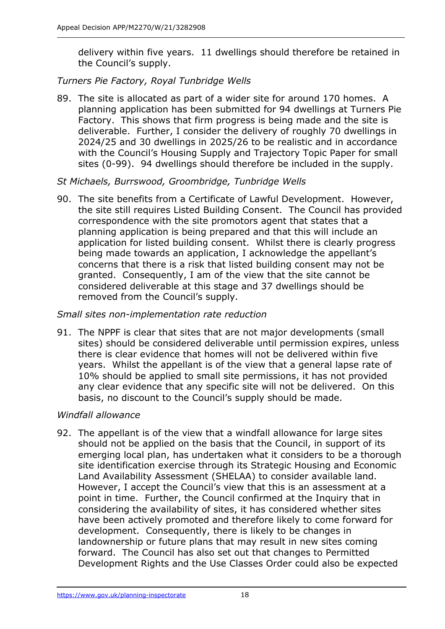delivery within five years. 11 dwellings should therefore be retained in the Council's supply.

## *Turners Pie Factory, Royal Tunbridge Wells*

89. The site is allocated as part of a wider site for around 170 homes. A planning application has been submitted for 94 dwellings at Turners Pie Factory. This shows that firm progress is being made and the site is deliverable. Further, I consider the delivery of roughly 70 dwellings in 2024/25 and 30 dwellings in 2025/26 to be realistic and in accordance with the Council's Housing Supply and Trajectory Topic Paper for small sites (0-99). 94 dwellings should therefore be included in the supply.

## *St Michaels, Burrswood, Groombridge, Tunbridge Wells*

90. The site benefits from a Certificate of Lawful Development. However, the site still requires Listed Building Consent. The Council has provided correspondence with the site promotors agent that states that a planning application is being prepared and that this will include an application for listed building consent. Whilst there is clearly progress being made towards an application, I acknowledge the appellant's concerns that there is a risk that listed building consent may not be granted. Consequently, I am of the view that the site cannot be considered deliverable at this stage and 37 dwellings should be removed from the Council's supply.

#### *Small sites non-implementation rate reduction*

91. The NPPF is clear that sites that are not major developments (small sites) should be considered deliverable until permission expires, unless there is clear evidence that homes will not be delivered within five years. Whilst the appellant is of the view that a general lapse rate of 10% should be applied to small site permissions, it has not provided any clear evidence that any specific site will not be delivered. On this basis, no discount to the Council's supply should be made.

#### *Windfall allowance*

92. The appellant is of the view that a windfall allowance for large sites should not be applied on the basis that the Council, in support of its emerging local plan, has undertaken what it considers to be a thorough site identification exercise through its Strategic Housing and Economic Land Availability Assessment (SHELAA) to consider available land. However, I accept the Council's view that this is an assessment at a point in time. Further, the Council confirmed at the Inquiry that in considering the availability of sites, it has considered whether sites have been actively promoted and therefore likely to come forward for development. Consequently, there is likely to be changes in landownership or future plans that may result in new sites coming forward. The Council has also set out that changes to Permitted Development Rights and the Use Classes Order could also be expected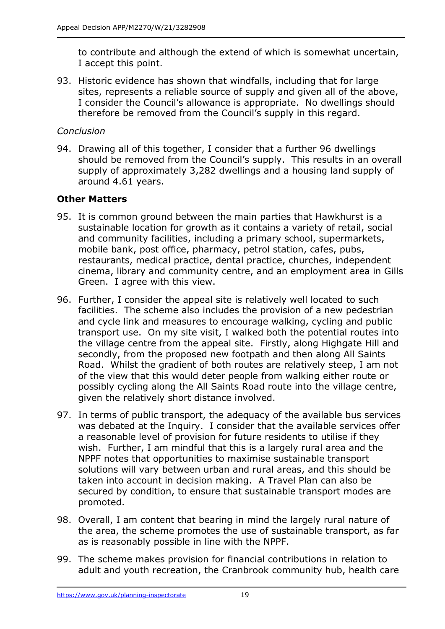to contribute and although the extend of which is somewhat uncertain, I accept this point.

93. Historic evidence has shown that windfalls, including that for large sites, represents a reliable source of supply and given all of the above, I consider the Council's allowance is appropriate. No dwellings should therefore be removed from the Council's supply in this regard.

## *Conclusion*

94. Drawing all of this together, I consider that a further 96 dwellings should be removed from the Council's supply. This results in an overall supply of approximately 3,282 dwellings and a housing land supply of around 4.61 years.

## **Other Matters**

- 95. It is common ground between the main parties that Hawkhurst is a sustainable location for growth as it contains a variety of retail, social and community facilities, including a primary school, supermarkets, mobile bank, post office, pharmacy, petrol station, cafes, pubs, restaurants, medical practice, dental practice, churches, independent cinema, library and community centre, and an employment area in Gills Green. I agree with this view.
- 96. Further, I consider the appeal site is relatively well located to such facilities. The scheme also includes the provision of a new pedestrian and cycle link and measures to encourage walking, cycling and public transport use. On my site visit, I walked both the potential routes into the village centre from the appeal site. Firstly, along Highgate Hill and secondly, from the proposed new footpath and then along All Saints Road. Whilst the gradient of both routes are relatively steep, I am not of the view that this would deter people from walking either route or possibly cycling along the All Saints Road route into the village centre, given the relatively short distance involved.
- 97. In terms of public transport, the adequacy of the available bus services was debated at the Inquiry. I consider that the available services offer a reasonable level of provision for future residents to utilise if they wish. Further, I am mindful that this is a largely rural area and the NPPF notes that opportunities to maximise sustainable transport solutions will vary between urban and rural areas, and this should be taken into account in decision making. A Travel Plan can also be secured by condition, to ensure that sustainable transport modes are promoted.
- 98. Overall, I am content that bearing in mind the largely rural nature of the area, the scheme promotes the use of sustainable transport, as far as is reasonably possible in line with the NPPF.
- 99. The scheme makes provision for financial contributions in relation to adult and youth recreation, the Cranbrook community hub, health care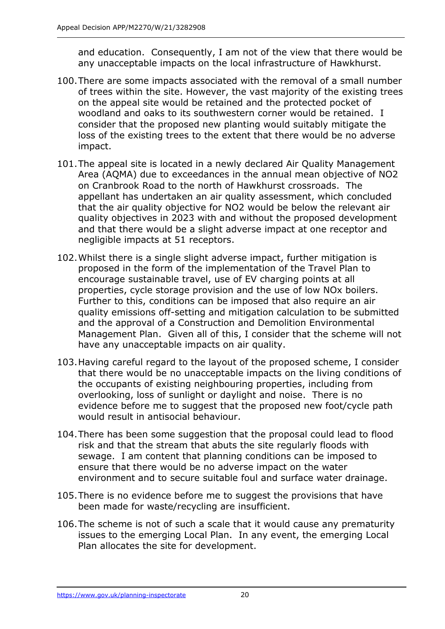and education. Consequently, I am not of the view that there would be any unacceptable impacts on the local infrastructure of Hawkhurst.

- 100.There are some impacts associated with the removal of a small number of trees within the site. However, the vast majority of the existing trees on the appeal site would be retained and the protected pocket of woodland and oaks to its southwestern corner would be retained. I consider that the proposed new planting would suitably mitigate the loss of the existing trees to the extent that there would be no adverse impact.
- 101.The appeal site is located in a newly declared Air Quality Management Area (AQMA) due to exceedances in the annual mean objective of NO2 on Cranbrook Road to the north of Hawkhurst crossroads. The appellant has undertaken an air quality assessment, which concluded that the air quality objective for NO2 would be below the relevant air quality objectives in 2023 with and without the proposed development and that there would be a slight adverse impact at one receptor and negligible impacts at 51 receptors.
- 102.Whilst there is a single slight adverse impact, further mitigation is proposed in the form of the implementation of the Travel Plan to encourage sustainable travel, use of EV charging points at all properties, cycle storage provision and the use of low NOx boilers. Further to this, conditions can be imposed that also require an air quality emissions off-setting and mitigation calculation to be submitted and the approval of a Construction and Demolition Environmental Management Plan. Given all of this, I consider that the scheme will not have any unacceptable impacts on air quality.
- 103.Having careful regard to the layout of the proposed scheme, I consider that there would be no unacceptable impacts on the living conditions of the occupants of existing neighbouring properties, including from overlooking, loss of sunlight or daylight and noise. There is no evidence before me to suggest that the proposed new foot/cycle path would result in antisocial behaviour.
- 104.There has been some suggestion that the proposal could lead to flood risk and that the stream that abuts the site regularly floods with sewage. I am content that planning conditions can be imposed to ensure that there would be no adverse impact on the water environment and to secure suitable foul and surface water drainage.
- 105.There is no evidence before me to suggest the provisions that have been made for waste/recycling are insufficient.
- 106.The scheme is not of such a scale that it would cause any prematurity issues to the emerging Local Plan. In any event, the emerging Local Plan allocates the site for development.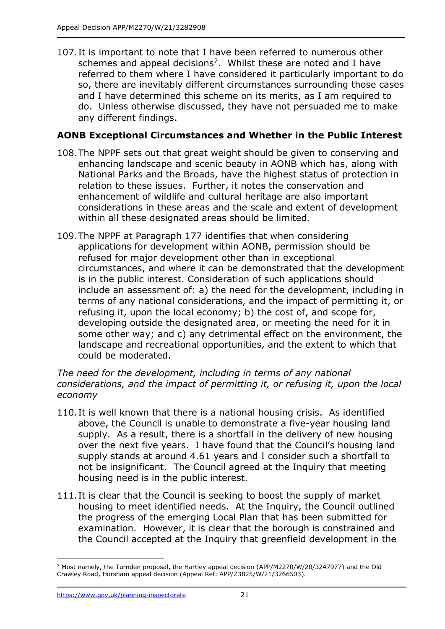107.It is important to note that I have been referred to numerous other schemes and appeal decisions<sup>7</sup>. Whilst these are noted and I have referred to them where I have considered it particularly important to do so, there are inevitably different circumstances surrounding those cases and I have determined this scheme on its merits, as I am required to do. Unless otherwise discussed, they have not persuaded me to make any different findings.

## **AONB Exceptional Circumstances and Whether in the Public Interest**

- 108.The NPPF sets out that great weight should be given to conserving and enhancing landscape and scenic beauty in AONB which has, along with National Parks and the Broads, have the highest status of protection in relation to these issues. Further, it notes the conservation and enhancement of wildlife and cultural heritage are also important considerations in these areas and the scale and extent of development within all these designated areas should be limited.
- 109.The NPPF at Paragraph 177 identifies that when considering applications for development within AONB, permission should be refused for major development other than in exceptional circumstances, and where it can be demonstrated that the development is in the public interest. Consideration of such applications should include an assessment of: a) the need for the development, including in terms of any national considerations, and the impact of permitting it, or refusing it, upon the local economy; b) the cost of, and scope for, developing outside the designated area, or meeting the need for it in some other way; and c) any detrimental effect on the environment, the landscape and recreational opportunities, and the extent to which that could be moderated.

#### *The need for the development, including in terms of any national considerations, and the impact of permitting it, or refusing it, upon the local economy*

- 110.It is well known that there is a national housing crisis. As identified above, the Council is unable to demonstrate a five-year housing land supply. As a result, there is a shortfall in the delivery of new housing over the next five years. I have found that the Council's housing land supply stands at around 4.61 years and I consider such a shortfall to not be insignificant. The Council agreed at the Inquiry that meeting housing need is in the public interest.
- 111.It is clear that the Council is seeking to boost the supply of market housing to meet identified needs. At the Inquiry, the Council outlined the progress of the emerging Local Plan that has been submitted for examination. However, it is clear that the borough is constrained and the Council accepted at the Inquiry that greenfield development in the

<sup>7</sup> Most namely, the Turnden proposal, the Hartley appeal decision (APP/M2270/W/20/3247977) and the Old Crawley Road, Horsham appeal decision (Appeal Ref: APP/Z3825/W/21/3266503).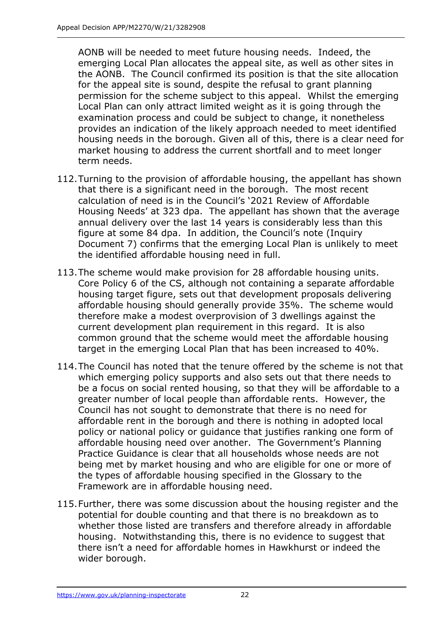AONB will be needed to meet future housing needs. Indeed, the emerging Local Plan allocates the appeal site, as well as other sites in the AONB. The Council confirmed its position is that the site allocation for the appeal site is sound, despite the refusal to grant planning permission for the scheme subject to this appeal. Whilst the emerging Local Plan can only attract limited weight as it is going through the examination process and could be subject to change, it nonetheless provides an indication of the likely approach needed to meet identified housing needs in the borough. Given all of this, there is a clear need for market housing to address the current shortfall and to meet longer term needs.

- 112.Turning to the provision of affordable housing, the appellant has shown that there is a significant need in the borough. The most recent calculation of need is in the Council's '2021 Review of Affordable Housing Needs' at 323 dpa. The appellant has shown that the average annual delivery over the last 14 years is considerably less than this figure at some 84 dpa. In addition, the Council's note (Inquiry Document 7) confirms that the emerging Local Plan is unlikely to meet the identified affordable housing need in full.
- 113.The scheme would make provision for 28 affordable housing units. Core Policy 6 of the CS, although not containing a separate affordable housing target figure, sets out that development proposals delivering affordable housing should generally provide 35%. The scheme would therefore make a modest overprovision of 3 dwellings against the current development plan requirement in this regard. It is also common ground that the scheme would meet the affordable housing target in the emerging Local Plan that has been increased to 40%.
- 114.The Council has noted that the tenure offered by the scheme is not that which emerging policy supports and also sets out that there needs to be a focus on social rented housing, so that they will be affordable to a greater number of local people than affordable rents. However, the Council has not sought to demonstrate that there is no need for affordable rent in the borough and there is nothing in adopted local policy or national policy or guidance that justifies ranking one form of affordable housing need over another. The Government's Planning Practice Guidance is clear that all households whose needs are not being met by market housing and who are eligible for one or more of the types of affordable housing specified in the Glossary to the Framework are in affordable housing need.
- 115.Further, there was some discussion about the housing register and the potential for double counting and that there is no breakdown as to whether those listed are transfers and therefore already in affordable housing. Notwithstanding this, there is no evidence to suggest that there isn't a need for affordable homes in Hawkhurst or indeed the wider borough.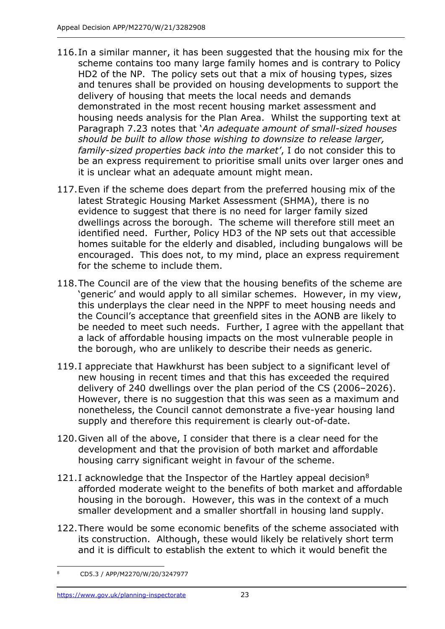- 116.In a similar manner, it has been suggested that the housing mix for the scheme contains too many large family homes and is contrary to Policy HD2 of the NP. The policy sets out that a mix of housing types, sizes and tenures shall be provided on housing developments to support the delivery of housing that meets the local needs and demands demonstrated in the most recent housing market assessment and housing needs analysis for the Plan Area. Whilst the supporting text at Paragraph 7.23 notes that '*An adequate amount of small-sized houses should be built to allow those wishing to downsize to release larger, family-sized properties back into the market'*, I do not consider this to be an express requirement to prioritise small units over larger ones and it is unclear what an adequate amount might mean.
- 117.Even if the scheme does depart from the preferred housing mix of the latest Strategic Housing Market Assessment (SHMA), there is no evidence to suggest that there is no need for larger family sized dwellings across the borough. The scheme will therefore still meet an identified need. Further, Policy HD3 of the NP sets out that accessible homes suitable for the elderly and disabled, including bungalows will be encouraged. This does not, to my mind, place an express requirement for the scheme to include them.
- 118.The Council are of the view that the housing benefits of the scheme are 'generic' and would apply to all similar schemes. However, in my view, this underplays the clear need in the NPPF to meet housing needs and the Council's acceptance that greenfield sites in the AONB are likely to be needed to meet such needs. Further, I agree with the appellant that a lack of affordable housing impacts on the most vulnerable people in the borough, who are unlikely to describe their needs as generic.
- 119.I appreciate that Hawkhurst has been subject to a significant level of new housing in recent times and that this has exceeded the required delivery of 240 dwellings over the plan period of the CS (2006–2026). However, there is no suggestion that this was seen as a maximum and nonetheless, the Council cannot demonstrate a five-year housing land supply and therefore this requirement is clearly out-of-date.
- 120.Given all of the above, I consider that there is a clear need for the development and that the provision of both market and affordable housing carry significant weight in favour of the scheme.
- 121.I acknowledge that the Inspector of the Hartley appeal decision<sup>8</sup> afforded moderate weight to the benefits of both market and affordable housing in the borough. However, this was in the context of a much smaller development and a smaller shortfall in housing land supply.
- 122.There would be some economic benefits of the scheme associated with its construction. Although, these would likely be relatively short term and it is difficult to establish the extent to which it would benefit the

<sup>8</sup> CD5.3 / APP/M2270/W/20/3247977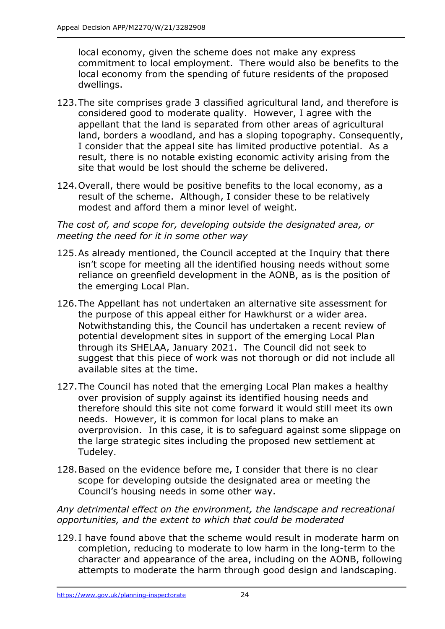local economy, given the scheme does not make any express commitment to local employment. There would also be benefits to the local economy from the spending of future residents of the proposed dwellings.

- 123.The site comprises grade 3 classified agricultural land, and therefore is considered good to moderate quality. However, I agree with the appellant that the land is separated from other areas of agricultural land, borders a woodland, and has a sloping topography. Consequently, I consider that the appeal site has limited productive potential. As a result, there is no notable existing economic activity arising from the site that would be lost should the scheme be delivered.
- 124.Overall, there would be positive benefits to the local economy, as a result of the scheme. Although, I consider these to be relatively modest and afford them a minor level of weight.

*The cost of, and scope for, developing outside the designated area, or meeting the need for it in some other way*

- 125.As already mentioned, the Council accepted at the Inquiry that there isn't scope for meeting all the identified housing needs without some reliance on greenfield development in the AONB, as is the position of the emerging Local Plan.
- 126.The Appellant has not undertaken an alternative site assessment for the purpose of this appeal either for Hawkhurst or a wider area. Notwithstanding this, the Council has undertaken a recent review of potential development sites in support of the emerging Local Plan through its SHELAA, January 2021. The Council did not seek to suggest that this piece of work was not thorough or did not include all available sites at the time.
- 127.The Council has noted that the emerging Local Plan makes a healthy over provision of supply against its identified housing needs and therefore should this site not come forward it would still meet its own needs. However, it is common for local plans to make an overprovision. In this case, it is to safeguard against some slippage on the large strategic sites including the proposed new settlement at Tudeley.
- 128.Based on the evidence before me, I consider that there is no clear scope for developing outside the designated area or meeting the Council's housing needs in some other way.

*Any detrimental effect on the environment, the landscape and recreational opportunities, and the extent to which that could be moderated*

129.I have found above that the scheme would result in moderate harm on completion, reducing to moderate to low harm in the long-term to the character and appearance of the area, including on the AONB, following attempts to moderate the harm through good design and landscaping.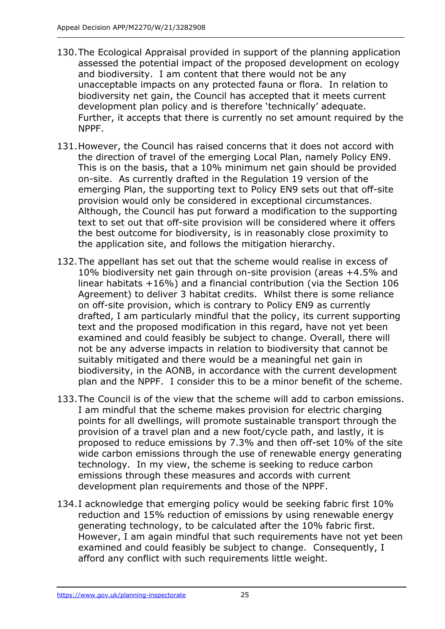- 130.The Ecological Appraisal provided in support of the planning application assessed the potential impact of the proposed development on ecology and biodiversity. I am content that there would not be any unacceptable impacts on any protected fauna or flora. In relation to biodiversity net gain, the Council has accepted that it meets current development plan policy and is therefore 'technically' adequate. Further, it accepts that there is currently no set amount required by the NPPF.
- 131.However, the Council has raised concerns that it does not accord with the direction of travel of the emerging Local Plan, namely Policy EN9. This is on the basis, that a 10% minimum net gain should be provided on-site. As currently drafted in the Regulation 19 version of the emerging Plan, the supporting text to Policy EN9 sets out that off-site provision would only be considered in exceptional circumstances. Although, the Council has put forward a modification to the supporting text to set out that off-site provision will be considered where it offers the best outcome for biodiversity, is in reasonably close proximity to the application site, and follows the mitigation hierarchy.
- 132.The appellant has set out that the scheme would realise in excess of 10% biodiversity net gain through on-site provision (areas +4.5% and linear habitats +16%) and a financial contribution (via the Section 106 Agreement) to deliver 3 habitat credits. Whilst there is some reliance on off-site provision, which is contrary to Policy EN9 as currently drafted, I am particularly mindful that the policy, its current supporting text and the proposed modification in this regard, have not yet been examined and could feasibly be subject to change. Overall, there will not be any adverse impacts in relation to biodiversity that cannot be suitably mitigated and there would be a meaningful net gain in biodiversity, in the AONB, in accordance with the current development plan and the NPPF. I consider this to be a minor benefit of the scheme.
- 133.The Council is of the view that the scheme will add to carbon emissions. I am mindful that the scheme makes provision for electric charging points for all dwellings, will promote sustainable transport through the provision of a travel plan and a new foot/cycle path, and lastly, it is proposed to reduce emissions by 7.3% and then off-set 10% of the site wide carbon emissions through the use of renewable energy generating technology. In my view, the scheme is seeking to reduce carbon emissions through these measures and accords with current development plan requirements and those of the NPPF.
- 134.I acknowledge that emerging policy would be seeking fabric first 10% reduction and 15% reduction of emissions by using renewable energy generating technology, to be calculated after the 10% fabric first. However, I am again mindful that such requirements have not yet been examined and could feasibly be subject to change. Consequently, I afford any conflict with such requirements little weight.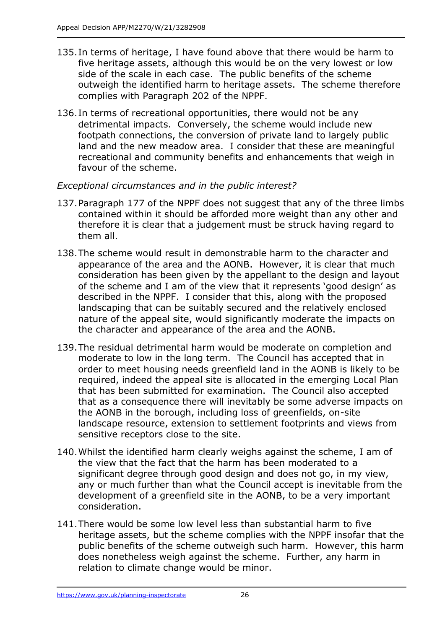- 135.In terms of heritage, I have found above that there would be harm to five heritage assets, although this would be on the very lowest or low side of the scale in each case. The public benefits of the scheme outweigh the identified harm to heritage assets. The scheme therefore complies with Paragraph 202 of the NPPF.
- 136.In terms of recreational opportunities, there would not be any detrimental impacts. Conversely, the scheme would include new footpath connections, the conversion of private land to largely public land and the new meadow area. I consider that these are meaningful recreational and community benefits and enhancements that weigh in favour of the scheme.

## *Exceptional circumstances and in the public interest?*

- 137.Paragraph 177 of the NPPF does not suggest that any of the three limbs contained within it should be afforded more weight than any other and therefore it is clear that a judgement must be struck having regard to them all.
- 138.The scheme would result in demonstrable harm to the character and appearance of the area and the AONB. However, it is clear that much consideration has been given by the appellant to the design and layout of the scheme and I am of the view that it represents 'good design' as described in the NPPF. I consider that this, along with the proposed landscaping that can be suitably secured and the relatively enclosed nature of the appeal site, would significantly moderate the impacts on the character and appearance of the area and the AONB.
- 139.The residual detrimental harm would be moderate on completion and moderate to low in the long term. The Council has accepted that in order to meet housing needs greenfield land in the AONB is likely to be required, indeed the appeal site is allocated in the emerging Local Plan that has been submitted for examination. The Council also accepted that as a consequence there will inevitably be some adverse impacts on the AONB in the borough, including loss of greenfields, on-site landscape resource, extension to settlement footprints and views from sensitive receptors close to the site.
- 140.Whilst the identified harm clearly weighs against the scheme, I am of the view that the fact that the harm has been moderated to a significant degree through good design and does not go, in my view, any or much further than what the Council accept is inevitable from the development of a greenfield site in the AONB, to be a very important consideration.
- 141.There would be some low level less than substantial harm to five heritage assets, but the scheme complies with the NPPF insofar that the public benefits of the scheme outweigh such harm. However, this harm does nonetheless weigh against the scheme. Further, any harm in relation to climate change would be minor.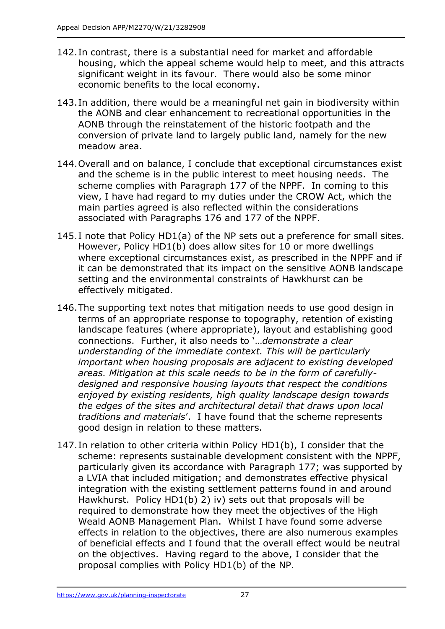- 142.In contrast, there is a substantial need for market and affordable housing, which the appeal scheme would help to meet, and this attracts significant weight in its favour. There would also be some minor economic benefits to the local economy.
- 143.In addition, there would be a meaningful net gain in biodiversity within the AONB and clear enhancement to recreational opportunities in the AONB through the reinstatement of the historic footpath and the conversion of private land to largely public land, namely for the new meadow area.
- 144.Overall and on balance, I conclude that exceptional circumstances exist and the scheme is in the public interest to meet housing needs. The scheme complies with Paragraph 177 of the NPPF. In coming to this view, I have had regard to my duties under the CROW Act, which the main parties agreed is also reflected within the considerations associated with Paragraphs 176 and 177 of the NPPF.
- 145.I note that Policy HD1(a) of the NP sets out a preference for small sites. However, Policy HD1(b) does allow sites for 10 or more dwellings where exceptional circumstances exist, as prescribed in the NPPF and if it can be demonstrated that its impact on the sensitive AONB landscape setting and the environmental constraints of Hawkhurst can be effectively mitigated.
- 146.The supporting text notes that mitigation needs to use good design in terms of an appropriate response to topography, retention of existing landscape features (where appropriate), layout and establishing good connections. Further, it also needs to '…*demonstrate a clear understanding of the immediate context. This will be particularly important when housing proposals are adjacent to existing developed areas. Mitigation at this scale needs to be in the form of carefullydesigned and responsive housing layouts that respect the conditions enjoyed by existing residents, high quality landscape design towards the edges of the sites and architectural detail that draws upon local traditions and materials*'. I have found that the scheme represents good design in relation to these matters.
- 147.In relation to other criteria within Policy HD1(b), I consider that the scheme: represents sustainable development consistent with the NPPF, particularly given its accordance with Paragraph 177; was supported by a LVIA that included mitigation; and demonstrates effective physical integration with the existing settlement patterns found in and around Hawkhurst. Policy HD1(b) 2) iv) sets out that proposals will be required to demonstrate how they meet the objectives of the High Weald AONB Management Plan. Whilst I have found some adverse effects in relation to the objectives, there are also numerous examples of beneficial effects and I found that the overall effect would be neutral on the objectives. Having regard to the above, I consider that the proposal complies with Policy HD1(b) of the NP.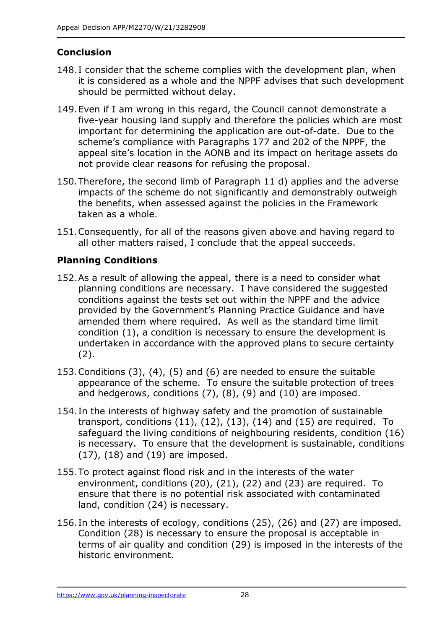# **Conclusion**

- 148.I consider that the scheme complies with the development plan, when it is considered as a whole and the NPPF advises that such development should be permitted without delay.
- 149.Even if I am wrong in this regard, the Council cannot demonstrate a five-year housing land supply and therefore the policies which are most important for determining the application are out-of-date. Due to the scheme's compliance with Paragraphs 177 and 202 of the NPPF, the appeal site's location in the AONB and its impact on heritage assets do not provide clear reasons for refusing the proposal.
- 150.Therefore, the second limb of Paragraph 11 d) applies and the adverse impacts of the scheme do not significantly and demonstrably outweigh the benefits, when assessed against the policies in the Framework taken as a whole.
- 151.Consequently, for all of the reasons given above and having regard to all other matters raised, I conclude that the appeal succeeds.

# **Planning Conditions**

- 152.As a result of allowing the appeal, there is a need to consider what planning conditions are necessary. I have considered the suggested conditions against the tests set out within the NPPF and the advice provided by the Government's Planning Practice Guidance and have amended them where required. As well as the standard time limit condition (1), a condition is necessary to ensure the development is undertaken in accordance with the approved plans to secure certainty (2).
- 153.Conditions (3), (4), (5) and (6) are needed to ensure the suitable appearance of the scheme. To ensure the suitable protection of trees and hedgerows, conditions (7), (8), (9) and (10) are imposed.
- 154.In the interests of highway safety and the promotion of sustainable transport, conditions  $(11)$ ,  $(12)$ ,  $(13)$ ,  $(14)$  and  $(15)$  are required. To safeguard the living conditions of neighbouring residents, condition (16) is necessary. To ensure that the development is sustainable, conditions (17), (18) and (19) are imposed.
- 155.To protect against flood risk and in the interests of the water environment, conditions (20), (21), (22) and (23) are required. To ensure that there is no potential risk associated with contaminated land, condition (24) is necessary.
- 156.In the interests of ecology, conditions (25), (26) and (27) are imposed. Condition (28) is necessary to ensure the proposal is acceptable in terms of air quality and condition (29) is imposed in the interests of the historic environment.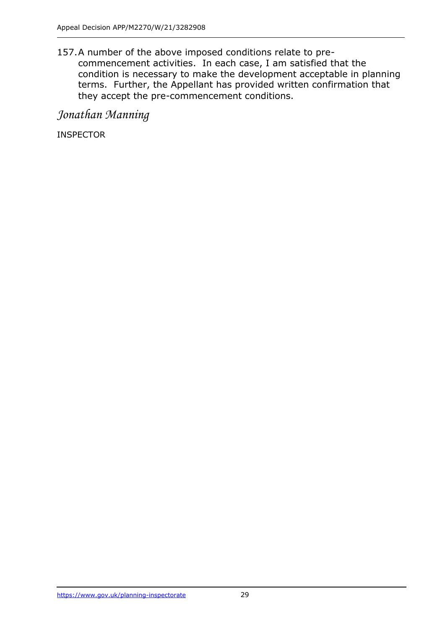157.A number of the above imposed conditions relate to precommencement activities. In each case, I am satisfied that the condition is necessary to make the development acceptable in planning terms. Further, the Appellant has provided written confirmation that they accept the pre-commencement conditions.

*Jonathan Manning*

INSPECTOR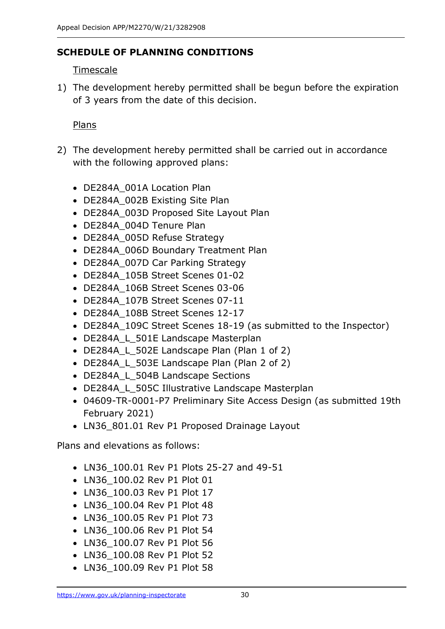## **SCHEDULE OF PLANNING CONDITIONS**

## **Timescale**

1) The development hereby permitted shall be begun before the expiration of 3 years from the date of this decision.

## Plans

- 2) The development hereby permitted shall be carried out in accordance with the following approved plans:
	- DE284A\_001A Location Plan
	- DE284A\_002B Existing Site Plan
	- DE284A\_003D Proposed Site Layout Plan
	- DE284A\_004D Tenure Plan
	- DE284A 005D Refuse Strategy
	- DE284A\_006D Boundary Treatment Plan
	- DE284A 007D Car Parking Strategy
	- DE284A\_105B Street Scenes 01-02
	- DE284A\_106B Street Scenes 03-06
	- DE284A\_107B Street Scenes 07-11
	- DE284A\_108B Street Scenes 12-17
	- DE284A\_109C Street Scenes 18-19 (as submitted to the Inspector)
	- DE284A\_L\_501E Landscape Masterplan
	- DE284A\_L\_502E Landscape Plan (Plan 1 of 2)
	- DE284A L 503E Landscape Plan (Plan 2 of 2)
	- DE284A\_L\_504B Landscape Sections
	- DE284A L 505C Illustrative Landscape Masterplan
	- 04609-TR-0001-P7 Preliminary Site Access Design (as submitted 19th February 2021)
	- LN36\_801.01 Rev P1 Proposed Drainage Layout

Plans and elevations as follows:

- LN36\_100.01 Rev P1 Plots 25-27 and 49-51
- LN36 100.02 Rev P1 Plot 01
- LN36 100.03 Rev P1 Plot 17
- LN36 100.04 Rev P1 Plot 48
- LN36\_100.05 Rev P1 Plot 73
- LN36\_100.06 Rev P1 Plot 54
- LN36\_100.07 Rev P1 Plot 56
- LN36\_100.08 Rev P1 Plot 52
- LN36 100.09 Rev P1 Plot 58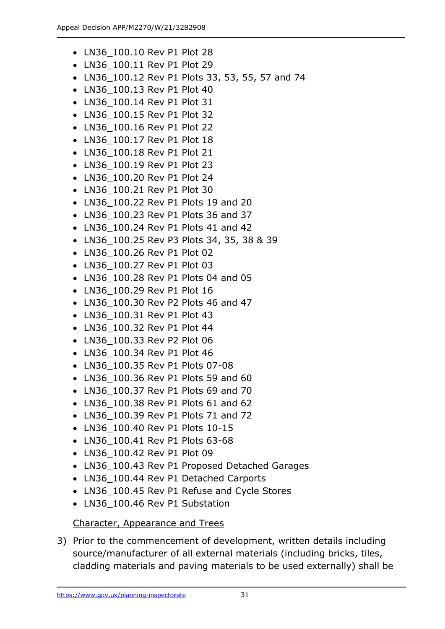- LN36 100.10 Rev P1 Plot 28
- LN36\_100.11 Rev P1 Plot 29
- LN36\_100.12 Rev P1 Plots 33, 53, 55, 57 and 74
- LN36\_100.13 Rev P1 Plot 40
- LN36\_100.14 Rev P1 Plot 31
- LN36 100.15 Rev P1 Plot 32
- LN36 100.16 Rev P1 Plot 22
- LN36 100.17 Rev P1 Plot 18
- LN36 100.18 Rev P1 Plot 21
- LN36 100.19 Rev P1 Plot 23
- LN36\_100.20 Rev P1 Plot 24
- LN36 100.21 Rev P1 Plot 30
- LN36 100.22 Rev P1 Plots 19 and 20
- LN36 100.23 Rev P1 Plots 36 and 37
- LN36 100.24 Rev P1 Plots 41 and 42
- LN36\_100.25 Rev P3 Plots 34, 35, 38 & 39
- LN36 100.26 Rev P1 Plot 02
- LN36\_100.27 Rev P1 Plot 03
- LN36 100.28 Rev P1 Plots 04 and 05
- LN36 100.29 Rev P1 Plot 16
- LN36 100.30 Rev P2 Plots 46 and 47
- LN36 100.31 Rev P1 Plot 43
- LN36\_100.32 Rev P1 Plot 44
- LN36 100.33 Rev P2 Plot 06
- LN36 100.34 Rev P1 Plot 46
- LN36\_100.35 Rev P1 Plots 07-08
- LN36 100.36 Rev P1 Plots 59 and 60
- LN36 100.37 Rev P1 Plots 69 and 70
- LN36 100.38 Rev P1 Plots 61 and 62
- LN36 100.39 Rev P1 Plots 71 and 72
- LN36\_100.40 Rev P1 Plots 10-15
- LN36\_100.41 Rev P1 Plots 63-68
- LN36 100.42 Rev P1 Plot 09
- LN36 100.43 Rev P1 Proposed Detached Garages
- LN36 100.44 Rev P1 Detached Carports
- LN36\_100.45 Rev P1 Refuse and Cycle Stores
- LN36 100.46 Rev P1 Substation

#### Character, Appearance and Trees

3) Prior to the commencement of development, written details including source/manufacturer of all external materials (including bricks, tiles, cladding materials and paving materials to be used externally) shall be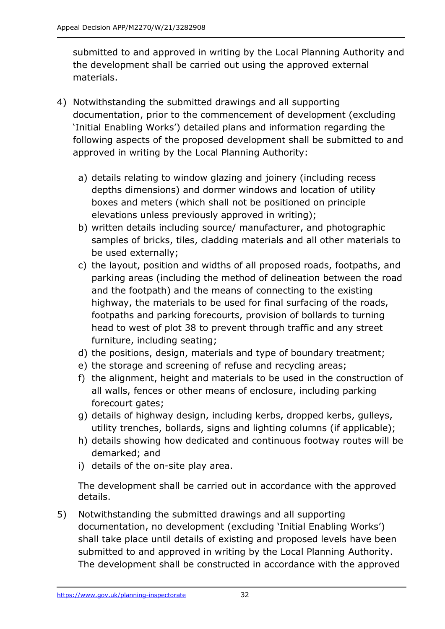submitted to and approved in writing by the Local Planning Authority and the development shall be carried out using the approved external materials.

- 4) Notwithstanding the submitted drawings and all supporting documentation, prior to the commencement of development (excluding 'Initial Enabling Works') detailed plans and information regarding the following aspects of the proposed development shall be submitted to and approved in writing by the Local Planning Authority:
	- a) details relating to window glazing and joinery (including recess depths dimensions) and dormer windows and location of utility boxes and meters (which shall not be positioned on principle elevations unless previously approved in writing);
	- b) written details including source/ manufacturer, and photographic samples of bricks, tiles, cladding materials and all other materials to be used externally;
	- c) the layout, position and widths of all proposed roads, footpaths, and parking areas (including the method of delineation between the road and the footpath) and the means of connecting to the existing highway, the materials to be used for final surfacing of the roads, footpaths and parking forecourts, provision of bollards to turning head to west of plot 38 to prevent through traffic and any street furniture, including seating;
	- d) the positions, design, materials and type of boundary treatment;
	- e) the storage and screening of refuse and recycling areas;
	- f) the alignment, height and materials to be used in the construction of all walls, fences or other means of enclosure, including parking forecourt gates;
	- g) details of highway design, including kerbs, dropped kerbs, gulleys, utility trenches, bollards, signs and lighting columns (if applicable);
	- h) details showing how dedicated and continuous footway routes will be demarked; and
	- i) details of the on-site play area.

The development shall be carried out in accordance with the approved details.

5) Notwithstanding the submitted drawings and all supporting documentation, no development (excluding 'Initial Enabling Works') shall take place until details of existing and proposed levels have been submitted to and approved in writing by the Local Planning Authority. The development shall be constructed in accordance with the approved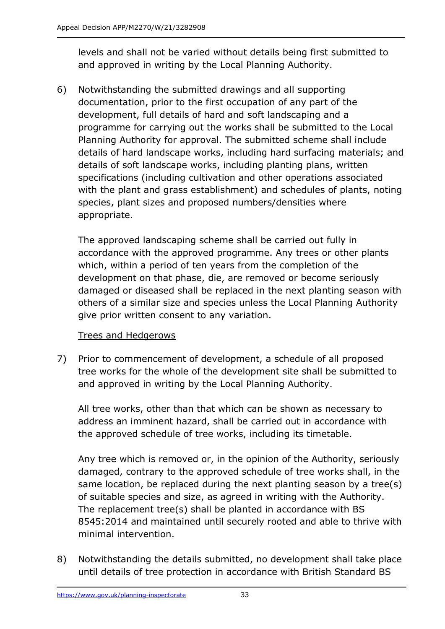levels and shall not be varied without details being first submitted to and approved in writing by the Local Planning Authority.

6) Notwithstanding the submitted drawings and all supporting documentation, prior to the first occupation of any part of the development, full details of hard and soft landscaping and a programme for carrying out the works shall be submitted to the Local Planning Authority for approval. The submitted scheme shall include details of hard landscape works, including hard surfacing materials; and details of soft landscape works, including planting plans, written specifications (including cultivation and other operations associated with the plant and grass establishment) and schedules of plants, noting species, plant sizes and proposed numbers/densities where appropriate.

The approved landscaping scheme shall be carried out fully in accordance with the approved programme. Any trees or other plants which, within a period of ten years from the completion of the development on that phase, die, are removed or become seriously damaged or diseased shall be replaced in the next planting season with others of a similar size and species unless the Local Planning Authority give prior written consent to any variation.

## Trees and Hedgerows

7) Prior to commencement of development, a schedule of all proposed tree works for the whole of the development site shall be submitted to and approved in writing by the Local Planning Authority.

All tree works, other than that which can be shown as necessary to address an imminent hazard, shall be carried out in accordance with the approved schedule of tree works, including its timetable.

Any tree which is removed or, in the opinion of the Authority, seriously damaged, contrary to the approved schedule of tree works shall, in the same location, be replaced during the next planting season by a tree(s) of suitable species and size, as agreed in writing with the Authority. The replacement tree(s) shall be planted in accordance with BS 8545:2014 and maintained until securely rooted and able to thrive with minimal intervention.

8) Notwithstanding the details submitted, no development shall take place until details of tree protection in accordance with British Standard BS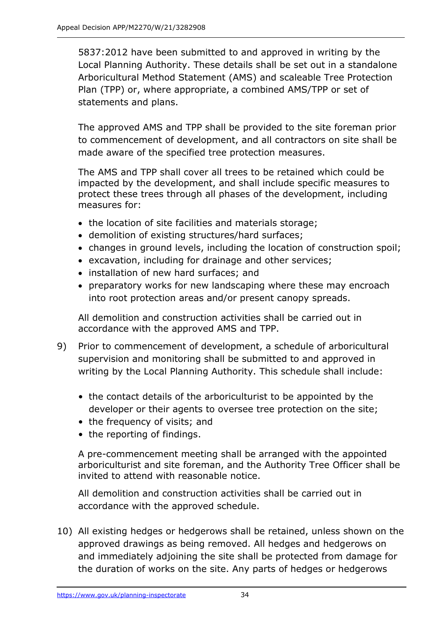5837:2012 have been submitted to and approved in writing by the Local Planning Authority. These details shall be set out in a standalone Arboricultural Method Statement (AMS) and scaleable Tree Protection Plan (TPP) or, where appropriate, a combined AMS/TPP or set of statements and plans.

The approved AMS and TPP shall be provided to the site foreman prior to commencement of development, and all contractors on site shall be made aware of the specified tree protection measures.

The AMS and TPP shall cover all trees to be retained which could be impacted by the development, and shall include specific measures to protect these trees through all phases of the development, including measures for:

- the location of site facilities and materials storage;
- demolition of existing structures/hard surfaces;
- changes in ground levels, including the location of construction spoil;
- excavation, including for drainage and other services;
- installation of new hard surfaces; and
- preparatory works for new landscaping where these may encroach into root protection areas and/or present canopy spreads.

All demolition and construction activities shall be carried out in accordance with the approved AMS and TPP.

- 9) Prior to commencement of development, a schedule of arboricultural supervision and monitoring shall be submitted to and approved in writing by the Local Planning Authority. This schedule shall include:
	- the contact details of the arboriculturist to be appointed by the developer or their agents to oversee tree protection on the site;
	- the frequency of visits; and
	- the reporting of findings.

A pre-commencement meeting shall be arranged with the appointed arboriculturist and site foreman, and the Authority Tree Officer shall be invited to attend with reasonable notice.

All demolition and construction activities shall be carried out in accordance with the approved schedule.

10) All existing hedges or hedgerows shall be retained, unless shown on the approved drawings as being removed. All hedges and hedgerows on and immediately adjoining the site shall be protected from damage for the duration of works on the site. Any parts of hedges or hedgerows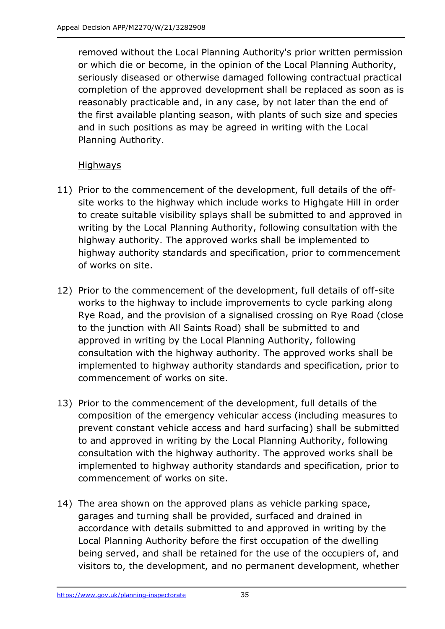removed without the Local Planning Authority's prior written permission or which die or become, in the opinion of the Local Planning Authority, seriously diseased or otherwise damaged following contractual practical completion of the approved development shall be replaced as soon as is reasonably practicable and, in any case, by not later than the end of the first available planting season, with plants of such size and species and in such positions as may be agreed in writing with the Local Planning Authority.

## **Highways**

- 11) Prior to the commencement of the development, full details of the offsite works to the highway which include works to Highgate Hill in order to create suitable visibility splays shall be submitted to and approved in writing by the Local Planning Authority, following consultation with the highway authority. The approved works shall be implemented to highway authority standards and specification, prior to commencement of works on site.
- 12) Prior to the commencement of the development, full details of off-site works to the highway to include improvements to cycle parking along Rye Road, and the provision of a signalised crossing on Rye Road (close to the junction with All Saints Road) shall be submitted to and approved in writing by the Local Planning Authority, following consultation with the highway authority. The approved works shall be implemented to highway authority standards and specification, prior to commencement of works on site.
- 13) Prior to the commencement of the development, full details of the composition of the emergency vehicular access (including measures to prevent constant vehicle access and hard surfacing) shall be submitted to and approved in writing by the Local Planning Authority, following consultation with the highway authority. The approved works shall be implemented to highway authority standards and specification, prior to commencement of works on site.
- 14) The area shown on the approved plans as vehicle parking space, garages and turning shall be provided, surfaced and drained in accordance with details submitted to and approved in writing by the Local Planning Authority before the first occupation of the dwelling being served, and shall be retained for the use of the occupiers of, and visitors to, the development, and no permanent development, whether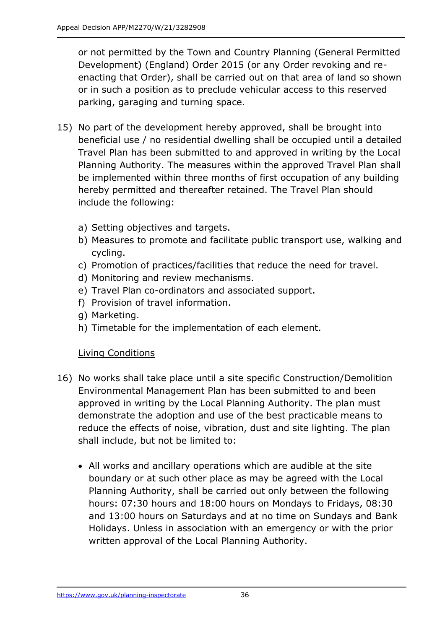or not permitted by the Town and Country Planning (General Permitted Development) (England) Order 2015 (or any Order revoking and reenacting that Order), shall be carried out on that area of land so shown or in such a position as to preclude vehicular access to this reserved parking, garaging and turning space.

- 15) No part of the development hereby approved, shall be brought into beneficial use / no residential dwelling shall be occupied until a detailed Travel Plan has been submitted to and approved in writing by the Local Planning Authority. The measures within the approved Travel Plan shall be implemented within three months of first occupation of any building hereby permitted and thereafter retained. The Travel Plan should include the following:
	- a) Setting objectives and targets.
	- b) Measures to promote and facilitate public transport use, walking and cycling.
	- c) Promotion of practices/facilities that reduce the need for travel.
	- d) Monitoring and review mechanisms.
	- e) Travel Plan co-ordinators and associated support.
	- f) Provision of travel information.
	- g) Marketing.
	- h) Timetable for the implementation of each element.

# Living Conditions

- 16) No works shall take place until a site specific Construction/Demolition Environmental Management Plan has been submitted to and been approved in writing by the Local Planning Authority. The plan must demonstrate the adoption and use of the best practicable means to reduce the effects of noise, vibration, dust and site lighting. The plan shall include, but not be limited to:
	- All works and ancillary operations which are audible at the site boundary or at such other place as may be agreed with the Local Planning Authority, shall be carried out only between the following hours: 07:30 hours and 18:00 hours on Mondays to Fridays, 08:30 and 13:00 hours on Saturdays and at no time on Sundays and Bank Holidays. Unless in association with an emergency or with the prior written approval of the Local Planning Authority.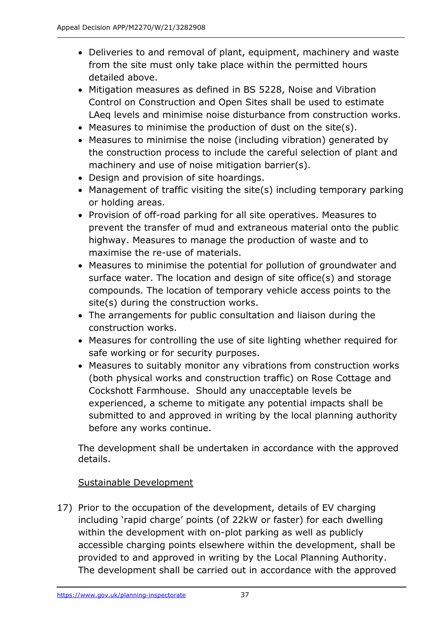- Deliveries to and removal of plant, equipment, machinery and waste from the site must only take place within the permitted hours detailed above.
- Mitigation measures as defined in BS 5228, Noise and Vibration Control on Construction and Open Sites shall be used to estimate LAeq levels and minimise noise disturbance from construction works.
- Measures to minimise the production of dust on the site(s).
- Measures to minimise the noise (including vibration) generated by the construction process to include the careful selection of plant and machinery and use of noise mitigation barrier(s).
- Design and provision of site hoardings.
- Management of traffic visiting the site(s) including temporary parking or holding areas.
- Provision of off-road parking for all site operatives. Measures to prevent the transfer of mud and extraneous material onto the public highway. Measures to manage the production of waste and to maximise the re-use of materials.
- Measures to minimise the potential for pollution of groundwater and surface water. The location and design of site office(s) and storage compounds. The location of temporary vehicle access points to the site(s) during the construction works.
- The arrangements for public consultation and liaison during the construction works.
- Measures for controlling the use of site lighting whether required for safe working or for security purposes.
- Measures to suitably monitor any vibrations from construction works (both physical works and construction traffic) on Rose Cottage and Cockshott Farmhouse. Should any unacceptable levels be experienced, a scheme to mitigate any potential impacts shall be submitted to and approved in writing by the local planning authority before any works continue.

The development shall be undertaken in accordance with the approved details.

# Sustainable Development

17) Prior to the occupation of the development, details of EV charging including 'rapid charge' points (of 22kW or faster) for each dwelling within the development with on-plot parking as well as publicly accessible charging points elsewhere within the development, shall be provided to and approved in writing by the Local Planning Authority. The development shall be carried out in accordance with the approved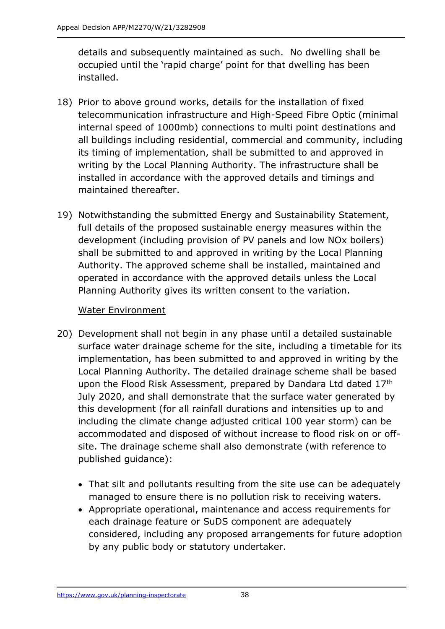details and subsequently maintained as such. No dwelling shall be occupied until the 'rapid charge' point for that dwelling has been installed.

- 18) Prior to above ground works, details for the installation of fixed telecommunication infrastructure and High-Speed Fibre Optic (minimal internal speed of 1000mb) connections to multi point destinations and all buildings including residential, commercial and community, including its timing of implementation, shall be submitted to and approved in writing by the Local Planning Authority. The infrastructure shall be installed in accordance with the approved details and timings and maintained thereafter.
- 19) Notwithstanding the submitted Energy and Sustainability Statement, full details of the proposed sustainable energy measures within the development (including provision of PV panels and low NOx boilers) shall be submitted to and approved in writing by the Local Planning Authority. The approved scheme shall be installed, maintained and operated in accordance with the approved details unless the Local Planning Authority gives its written consent to the variation.

## Water Environment

- 20) Development shall not begin in any phase until a detailed sustainable surface water drainage scheme for the site, including a timetable for its implementation, has been submitted to and approved in writing by the Local Planning Authority. The detailed drainage scheme shall be based upon the Flood Risk Assessment, prepared by Dandara Ltd dated 17th July 2020, and shall demonstrate that the surface water generated by this development (for all rainfall durations and intensities up to and including the climate change adjusted critical 100 year storm) can be accommodated and disposed of without increase to flood risk on or offsite. The drainage scheme shall also demonstrate (with reference to published guidance):
	- That silt and pollutants resulting from the site use can be adequately managed to ensure there is no pollution risk to receiving waters.
	- Appropriate operational, maintenance and access requirements for each drainage feature or SuDS component are adequately considered, including any proposed arrangements for future adoption by any public body or statutory undertaker.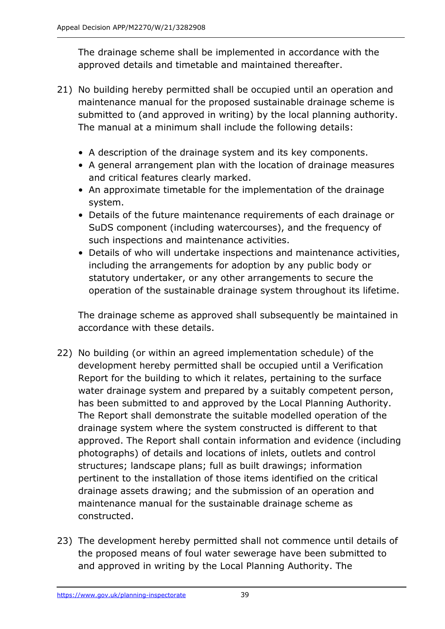The drainage scheme shall be implemented in accordance with the approved details and timetable and maintained thereafter.

- 21) No building hereby permitted shall be occupied until an operation and maintenance manual for the proposed sustainable drainage scheme is submitted to (and approved in writing) by the local planning authority. The manual at a minimum shall include the following details:
	- A description of the drainage system and its key components.
	- A general arrangement plan with the location of drainage measures and critical features clearly marked.
	- An approximate timetable for the implementation of the drainage system.
	- Details of the future maintenance requirements of each drainage or SuDS component (including watercourses), and the frequency of such inspections and maintenance activities.
	- Details of who will undertake inspections and maintenance activities, including the arrangements for adoption by any public body or statutory undertaker, or any other arrangements to secure the operation of the sustainable drainage system throughout its lifetime.

The drainage scheme as approved shall subsequently be maintained in accordance with these details.

- 22) No building (or within an agreed implementation schedule) of the development hereby permitted shall be occupied until a Verification Report for the building to which it relates, pertaining to the surface water drainage system and prepared by a suitably competent person, has been submitted to and approved by the Local Planning Authority. The Report shall demonstrate the suitable modelled operation of the drainage system where the system constructed is different to that approved. The Report shall contain information and evidence (including photographs) of details and locations of inlets, outlets and control structures; landscape plans; full as built drawings; information pertinent to the installation of those items identified on the critical drainage assets drawing; and the submission of an operation and maintenance manual for the sustainable drainage scheme as constructed.
- 23) The development hereby permitted shall not commence until details of the proposed means of foul water sewerage have been submitted to and approved in writing by the Local Planning Authority. The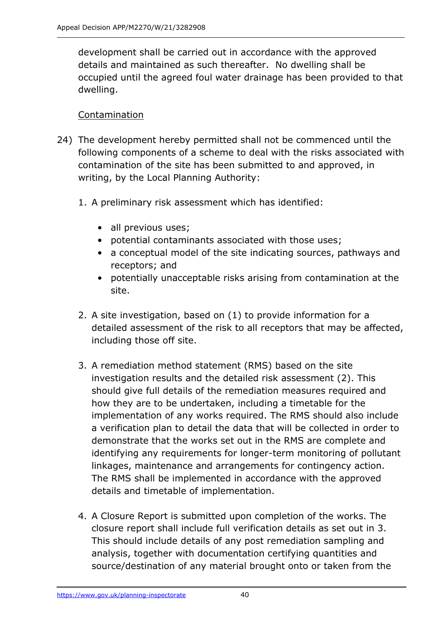development shall be carried out in accordance with the approved details and maintained as such thereafter. No dwelling shall be occupied until the agreed foul water drainage has been provided to that dwelling.

## Contamination

- 24) The development hereby permitted shall not be commenced until the following components of a scheme to deal with the risks associated with contamination of the site has been submitted to and approved, in writing, by the Local Planning Authority:
	- 1. A preliminary risk assessment which has identified:
		- all previous uses;
		- potential contaminants associated with those uses;
		- a conceptual model of the site indicating sources, pathways and receptors; and
		- potentially unacceptable risks arising from contamination at the site.
	- 2. A site investigation, based on (1) to provide information for a detailed assessment of the risk to all receptors that may be affected, including those off site.
	- 3. A remediation method statement (RMS) based on the site investigation results and the detailed risk assessment (2). This should give full details of the remediation measures required and how they are to be undertaken, including a timetable for the implementation of any works required. The RMS should also include a verification plan to detail the data that will be collected in order to demonstrate that the works set out in the RMS are complete and identifying any requirements for longer-term monitoring of pollutant linkages, maintenance and arrangements for contingency action. The RMS shall be implemented in accordance with the approved details and timetable of implementation.
	- 4. A Closure Report is submitted upon completion of the works. The closure report shall include full verification details as set out in 3. This should include details of any post remediation sampling and analysis, together with documentation certifying quantities and source/destination of any material brought onto or taken from the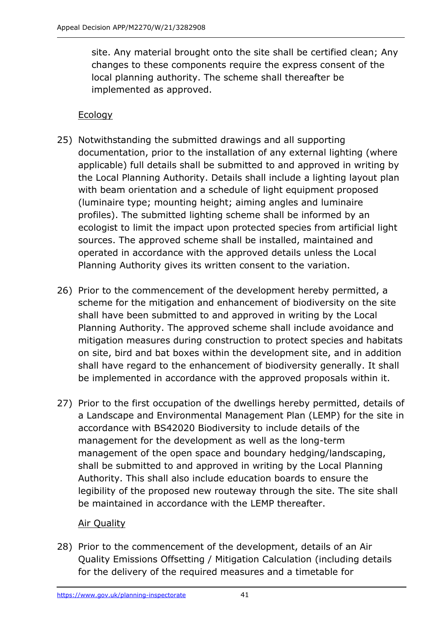site. Any material brought onto the site shall be certified clean; Any changes to these components require the express consent of the local planning authority. The scheme shall thereafter be implemented as approved.

# Ecology

- 25) Notwithstanding the submitted drawings and all supporting documentation, prior to the installation of any external lighting (where applicable) full details shall be submitted to and approved in writing by the Local Planning Authority. Details shall include a lighting layout plan with beam orientation and a schedule of light equipment proposed (luminaire type; mounting height; aiming angles and luminaire profiles). The submitted lighting scheme shall be informed by an ecologist to limit the impact upon protected species from artificial light sources. The approved scheme shall be installed, maintained and operated in accordance with the approved details unless the Local Planning Authority gives its written consent to the variation.
- 26) Prior to the commencement of the development hereby permitted, a scheme for the mitigation and enhancement of biodiversity on the site shall have been submitted to and approved in writing by the Local Planning Authority. The approved scheme shall include avoidance and mitigation measures during construction to protect species and habitats on site, bird and bat boxes within the development site, and in addition shall have regard to the enhancement of biodiversity generally. It shall be implemented in accordance with the approved proposals within it.
- 27) Prior to the first occupation of the dwellings hereby permitted, details of a Landscape and Environmental Management Plan (LEMP) for the site in accordance with BS42020 Biodiversity to include details of the management for the development as well as the long-term management of the open space and boundary hedging/landscaping, shall be submitted to and approved in writing by the Local Planning Authority. This shall also include education boards to ensure the legibility of the proposed new routeway through the site. The site shall be maintained in accordance with the LEMP thereafter.

## Air Quality

28) Prior to the commencement of the development, details of an Air Quality Emissions Offsetting / Mitigation Calculation (including details for the delivery of the required measures and a timetable for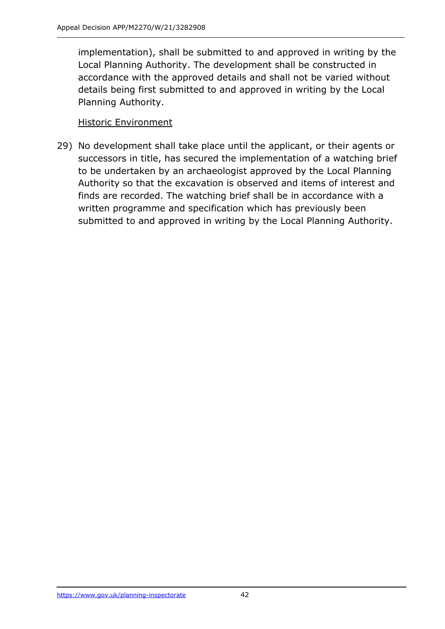implementation), shall be submitted to and approved in writing by the Local Planning Authority. The development shall be constructed in accordance with the approved details and shall not be varied without details being first submitted to and approved in writing by the Local Planning Authority.

## Historic Environment

29) No development shall take place until the applicant, or their agents or successors in title, has secured the implementation of a watching brief to be undertaken by an archaeologist approved by the Local Planning Authority so that the excavation is observed and items of interest and finds are recorded. The watching brief shall be in accordance with a written programme and specification which has previously been submitted to and approved in writing by the Local Planning Authority.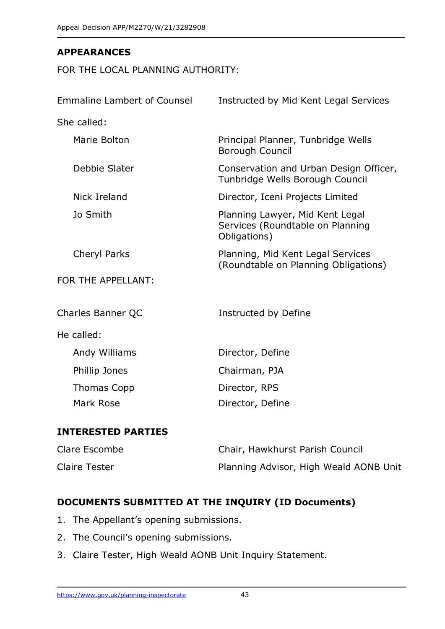# **APPEARANCES**

FOR THE LOCAL PLANNING AUTHORITY:

| <b>Emmaline Lambert of Counsel</b> | Instructed by Mid Kent Legal Services                                               |
|------------------------------------|-------------------------------------------------------------------------------------|
| She called:                        |                                                                                     |
| Marie Bolton                       | Principal Planner, Tunbridge Wells<br>Borough Council                               |
| Debbie Slater                      | Conservation and Urban Design Officer,<br>Tunbridge Wells Borough Council           |
| Nick Ireland                       | Director, Iceni Projects Limited                                                    |
| Jo Smith                           | Planning Lawyer, Mid Kent Legal<br>Services (Roundtable on Planning<br>Obligations) |
| <b>Cheryl Parks</b>                | Planning, Mid Kent Legal Services<br>(Roundtable on Planning Obligations)           |
| FOR THE APPELLANT:                 |                                                                                     |
| Charles Banner QC                  | Instructed by Define                                                                |
| He called:                         |                                                                                     |
| Andy Williams                      | Director, Define                                                                    |
| Phillip Jones                      | Chairman, PJA                                                                       |
| <b>Thomas Copp</b>                 | Director, RPS                                                                       |
| Mark Rose                          | Director, Define                                                                    |
| <b>INTERESTED PARTIES</b>          |                                                                                     |

# Clare Escombe Chair, Hawkhurst Parish Council Claire Tester **Planning Advisor, High Weald AONB Unit**

# **DOCUMENTS SUBMITTED AT THE INQUIRY (ID Documents)**

- 1. The Appellant's opening submissions.
- 2. The Council's opening submissions.
- 3. Claire Tester, High Weald AONB Unit Inquiry Statement.